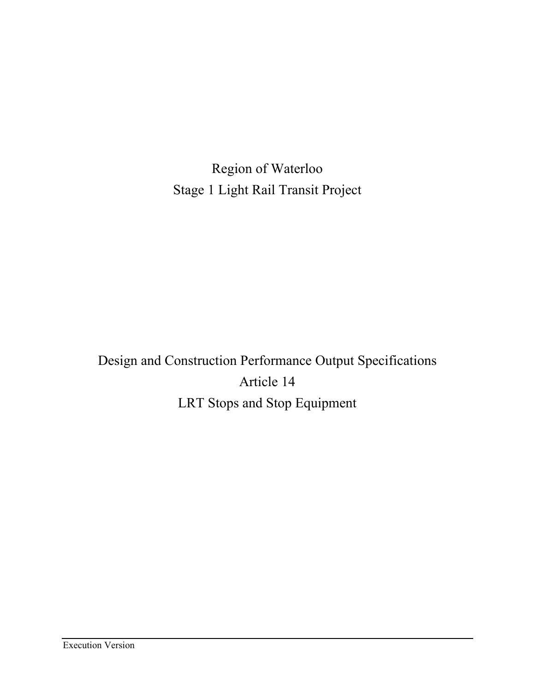Region of Waterloo Stage 1 Light Rail Transit Project

Design and Construction Performance Output Specifications Article 14 LRT Stops and Stop Equipment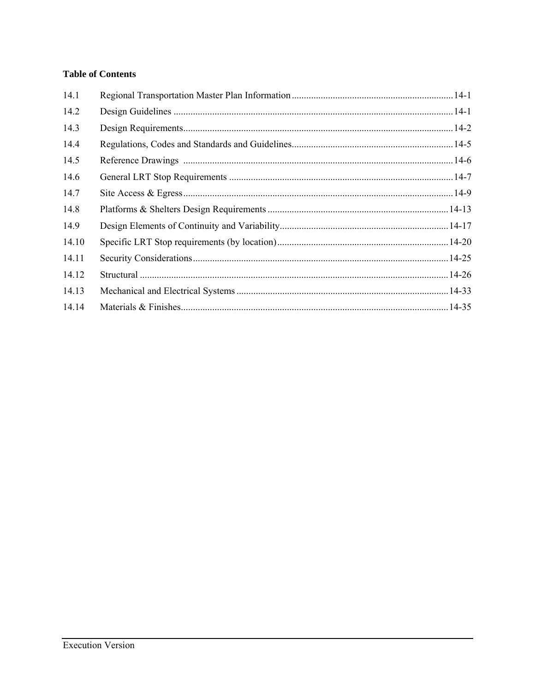# **Table of Contents**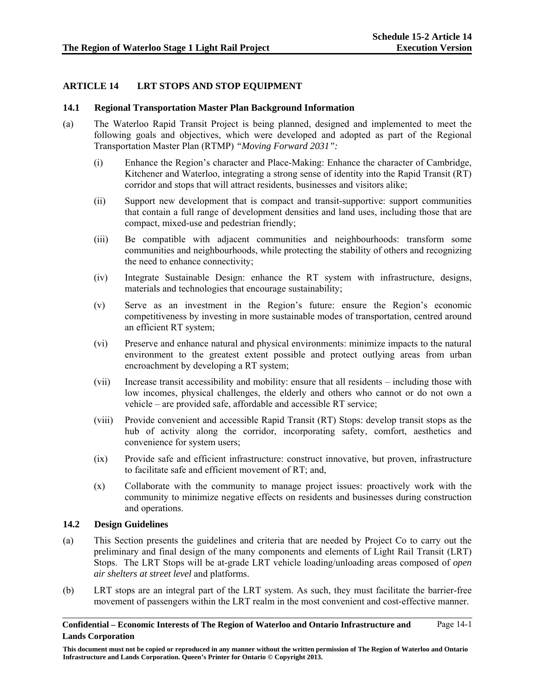# **ARTICLE 14 LRT STOPS AND STOP EQUIPMENT**

### **14.1 Regional Transportation Master Plan Background Information**

- (a) The Waterloo Rapid Transit Project is being planned, designed and implemented to meet the following goals and objectives, which were developed and adopted as part of the Regional Transportation Master Plan (RTMP) *"Moving Forward 2031":*
	- (i) Enhance the Region's character and Place-Making: Enhance the character of Cambridge, Kitchener and Waterloo, integrating a strong sense of identity into the Rapid Transit (RT) corridor and stops that will attract residents, businesses and visitors alike;
	- (ii) Support new development that is compact and transit-supportive: support communities that contain a full range of development densities and land uses, including those that are compact, mixed-use and pedestrian friendly;
	- (iii) Be compatible with adjacent communities and neighbourhoods: transform some communities and neighbourhoods, while protecting the stability of others and recognizing the need to enhance connectivity;
	- (iv) Integrate Sustainable Design: enhance the RT system with infrastructure, designs, materials and technologies that encourage sustainability;
	- (v) Serve as an investment in the Region's future: ensure the Region's economic competitiveness by investing in more sustainable modes of transportation, centred around an efficient RT system;
	- (vi) Preserve and enhance natural and physical environments: minimize impacts to the natural environment to the greatest extent possible and protect outlying areas from urban encroachment by developing a RT system;
	- (vii) Increase transit accessibility and mobility: ensure that all residents including those with low incomes, physical challenges, the elderly and others who cannot or do not own a vehicle – are provided safe, affordable and accessible RT service;
	- (viii) Provide convenient and accessible Rapid Transit (RT) Stops: develop transit stops as the hub of activity along the corridor, incorporating safety, comfort, aesthetics and convenience for system users;
	- (ix) Provide safe and efficient infrastructure: construct innovative, but proven, infrastructure to facilitate safe and efficient movement of RT; and,
	- (x) Collaborate with the community to manage project issues: proactively work with the community to minimize negative effects on residents and businesses during construction and operations.

### **14.2 Design Guidelines**

- (a) This Section presents the guidelines and criteria that are needed by Project Co to carry out the preliminary and final design of the many components and elements of Light Rail Transit (LRT) Stops. The LRT Stops will be at-grade LRT vehicle loading/unloading areas composed of *open air shelters at street level* and platforms.
- (b) LRT stops are an integral part of the LRT system. As such, they must facilitate the barrier-free movement of passengers within the LRT realm in the most convenient and cost-effective manner.

**This document must not be copied or reproduced in any manner without the written permission of The Region of Waterloo and Ontario Infrastructure and Lands Corporation. Queen's Printer for Ontario © Copyright 2013.**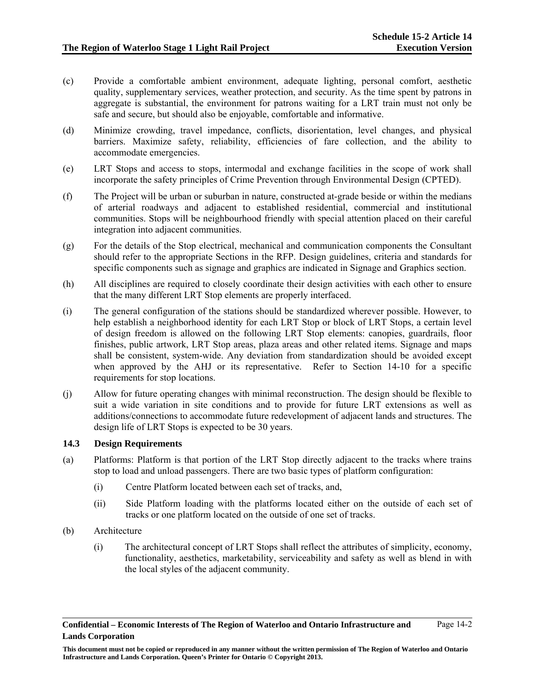Page 14-2

- (c) Provide a comfortable ambient environment, adequate lighting, personal comfort, aesthetic quality, supplementary services, weather protection, and security. As the time spent by patrons in aggregate is substantial, the environment for patrons waiting for a LRT train must not only be safe and secure, but should also be enjoyable, comfortable and informative.
- (d) Minimize crowding, travel impedance, conflicts, disorientation, level changes, and physical barriers. Maximize safety, reliability, efficiencies of fare collection, and the ability to accommodate emergencies.
- (e) LRT Stops and access to stops, intermodal and exchange facilities in the scope of work shall incorporate the safety principles of Crime Prevention through Environmental Design (CPTED).
- (f) The Project will be urban or suburban in nature, constructed at-grade beside or within the medians of arterial roadways and adjacent to established residential, commercial and institutional communities. Stops will be neighbourhood friendly with special attention placed on their careful integration into adjacent communities.
- (g) For the details of the Stop electrical, mechanical and communication components the Consultant should refer to the appropriate Sections in the RFP. Design guidelines, criteria and standards for specific components such as signage and graphics are indicated in Signage and Graphics section.
- (h) All disciplines are required to closely coordinate their design activities with each other to ensure that the many different LRT Stop elements are properly interfaced.
- (i) The general configuration of the stations should be standardized wherever possible. However, to help establish a neighborhood identity for each LRT Stop or block of LRT Stops, a certain level of design freedom is allowed on the following LRT Stop elements: canopies, guardrails, floor finishes, public artwork, LRT Stop areas, plaza areas and other related items. Signage and maps shall be consistent, system-wide. Any deviation from standardization should be avoided except when approved by the AHJ or its representative. Refer to Section 14-10 for a specific requirements for stop locations.
- (j) Allow for future operating changes with minimal reconstruction. The design should be flexible to suit a wide variation in site conditions and to provide for future LRT extensions as well as additions/connections to accommodate future redevelopment of adjacent lands and structures. The design life of LRT Stops is expected to be 30 years.

### **14.3 Design Requirements**

- (a) Platforms: Platform is that portion of the LRT Stop directly adjacent to the tracks where trains stop to load and unload passengers. There are two basic types of platform configuration:
	- (i) Centre Platform located between each set of tracks, and,
	- (ii) Side Platform loading with the platforms located either on the outside of each set of tracks or one platform located on the outside of one set of tracks.
- (b) Architecture
	- (i) The architectural concept of LRT Stops shall reflect the attributes of simplicity, economy, functionality, aesthetics, marketability, serviceability and safety as well as blend in with the local styles of the adjacent community.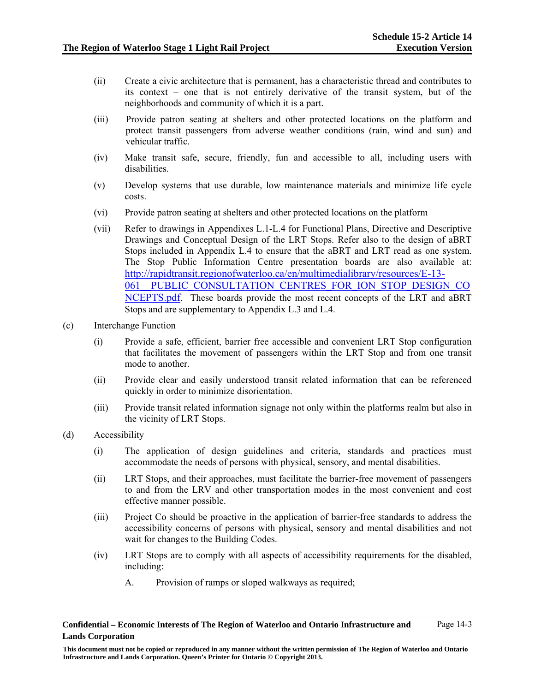- (ii) Create a civic architecture that is permanent, has a characteristic thread and contributes to its context – one that is not entirely derivative of the transit system, but of the neighborhoods and community of which it is a part.
- (iii) Provide patron seating at shelters and other protected locations on the platform and protect transit passengers from adverse weather conditions (rain, wind and sun) and vehicular traffic.
- (iv) Make transit safe, secure, friendly, fun and accessible to all, including users with disabilities.
- (v) Develop systems that use durable, low maintenance materials and minimize life cycle costs.
- (vi) Provide patron seating at shelters and other protected locations on the platform
- (vii) Refer to drawings in Appendixes L.1-L.4 for Functional Plans, Directive and Descriptive Drawings and Conceptual Design of the LRT Stops. Refer also to the design of aBRT Stops included in Appendix L.4 to ensure that the aBRT and LRT read as one system. The Stop Public Information Centre presentation boards are also available at: http://rapidtransit.regionofwaterloo.ca/en/multimedialibrary/resources/E-13- 061 PUBLIC CONSULTATION CENTRES FOR ION STOP DESIGN CO NCEPTS.pdf. These boards provide the most recent concepts of the LRT and aBRT Stops and are supplementary to Appendix L.3 and L.4.
- (c) Interchange Function
	- (i) Provide a safe, efficient, barrier free accessible and convenient LRT Stop configuration that facilitates the movement of passengers within the LRT Stop and from one transit mode to another.
	- (ii) Provide clear and easily understood transit related information that can be referenced quickly in order to minimize disorientation.
	- (iii) Provide transit related information signage not only within the platforms realm but also in the vicinity of LRT Stops.
- (d) Accessibility
	- (i) The application of design guidelines and criteria, standards and practices must accommodate the needs of persons with physical, sensory, and mental disabilities.
	- (ii) LRT Stops, and their approaches, must facilitate the barrier-free movement of passengers to and from the LRV and other transportation modes in the most convenient and cost effective manner possible.
	- (iii) Project Co should be proactive in the application of barrier-free standards to address the accessibility concerns of persons with physical, sensory and mental disabilities and not wait for changes to the Building Codes.
	- (iv) LRT Stops are to comply with all aspects of accessibility requirements for the disabled, including:
		- A. Provision of ramps or sloped walkways as required;

**Confidential – Economic Interests of The Region of Waterloo and Ontario Infrastructure and Lands Corporation**  Page 14-3

**This document must not be copied or reproduced in any manner without the written permission of The Region of Waterloo and Ontario Infrastructure and Lands Corporation. Queen's Printer for Ontario © Copyright 2013.**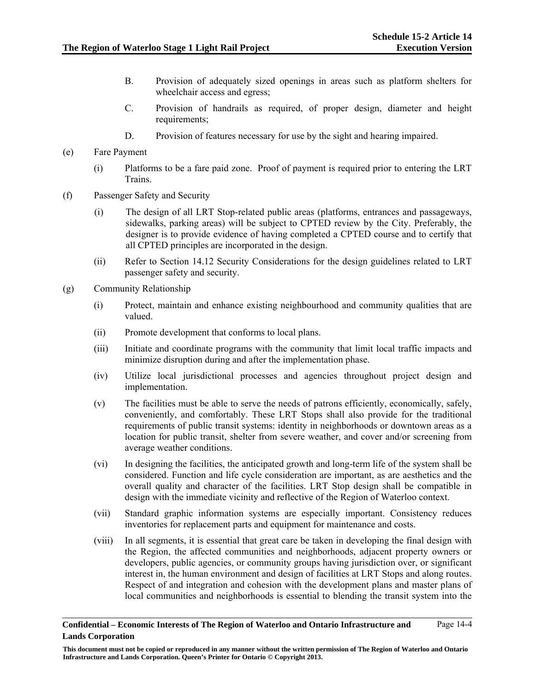- B. Provision of adequately sized openings in areas such as platform shelters for wheelchair access and egress;
- C. Provision of handrails as required, of proper design, diameter and height requirements;
- D. Provision of features necessary for use by the sight and hearing impaired.
- (e) Fare Payment
	- (i) Platforms to be a fare paid zone. Proof of payment is required prior to entering the LRT Trains.
- (f) Passenger Safety and Security
	- (i) The design of all LRT Stop-related public areas (platforms, entrances and passageways, sidewalks, parking areas) will be subject to CPTED review by the City. Preferably, the designer is to provide evidence of having completed a CPTED course and to certify that all CPTED principles are incorporated in the design.
	- (ii) Refer to Section 14.12 Security Considerations for the design guidelines related to LRT passenger safety and security.
- (g) Community Relationship
	- (i) Protect, maintain and enhance existing neighbourhood and community qualities that are valued.
	- (ii) Promote development that conforms to local plans.
	- (iii) Initiate and coordinate programs with the community that limit local traffic impacts and minimize disruption during and after the implementation phase.
	- (iv) Utilize local jurisdictional processes and agencies throughout project design and implementation.
	- (v) The facilities must be able to serve the needs of patrons efficiently, economically, safely, conveniently, and comfortably. These LRT Stops shall also provide for the traditional requirements of public transit systems: identity in neighborhoods or downtown areas as a location for public transit, shelter from severe weather, and cover and/or screening from average weather conditions.
	- (vi) In designing the facilities, the anticipated growth and long-term life of the system shall be considered. Function and life cycle consideration are important, as are aesthetics and the overall quality and character of the facilities. LRT Stop design shall be compatible in design with the immediate vicinity and reflective of the Region of Waterloo context.
	- (vii) Standard graphic information systems are especially important. Consistency reduces inventories for replacement parts and equipment for maintenance and costs.
	- (viii) In all segments, it is essential that great care be taken in developing the final design with the Region, the affected communities and neighborhoods, adjacent property owners or developers, public agencies, or community groups having jurisdiction over, or significant interest in, the human environment and design of facilities at LRT Stops and along routes. Respect of and integration and cohesion with the development plans and master plans of local communities and neighborhoods is essential to blending the transit system into the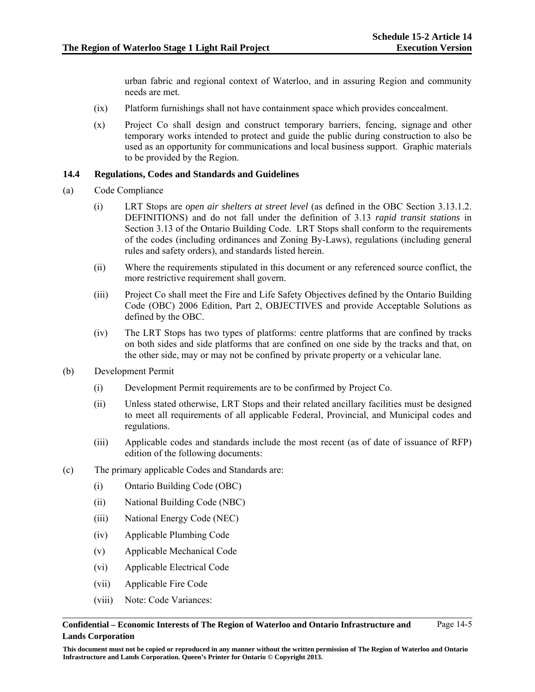urban fabric and regional context of Waterloo, and in assuring Region and community needs are met.

- (ix) Platform furnishings shall not have containment space which provides concealment.
- (x) Project Co shall design and construct temporary barriers, fencing, signage and other temporary works intended to protect and guide the public during construction to also be used as an opportunity for communications and local business support. Graphic materials to be provided by the Region.

### **14.4 Regulations, Codes and Standards and Guidelines**

- (a) Code Compliance
	- (i) LRT Stops are *open air shelters at street level* (as defined in the OBC Section 3.13.1.2. DEFINITIONS) and do not fall under the definition of 3.13 *rapid transit stations* in Section 3.13 of the Ontario Building Code. LRT Stops shall conform to the requirements of the codes (including ordinances and Zoning By-Laws), regulations (including general rules and safety orders), and standards listed herein.
	- (ii) Where the requirements stipulated in this document or any referenced source conflict, the more restrictive requirement shall govern.
	- (iii) Project Co shall meet the Fire and Life Safety Objectives defined by the Ontario Building Code (OBC) 2006 Edition, Part 2, OBJECTIVES and provide Acceptable Solutions as defined by the OBC.
	- (iv) The LRT Stops has two types of platforms: centre platforms that are confined by tracks on both sides and side platforms that are confined on one side by the tracks and that, on the other side, may or may not be confined by private property or a vehicular lane.
- (b) Development Permit
	- (i) Development Permit requirements are to be confirmed by Project Co.
	- (ii) Unless stated otherwise, LRT Stops and their related ancillary facilities must be designed to meet all requirements of all applicable Federal, Provincial, and Municipal codes and regulations.
	- (iii) Applicable codes and standards include the most recent (as of date of issuance of RFP) edition of the following documents:
- (c) The primary applicable Codes and Standards are:
	- (i) Ontario Building Code (OBC)
	- (ii) National Building Code (NBC)
	- (iii) National Energy Code (NEC)
	- (iv) Applicable Plumbing Code
	- (v) Applicable Mechanical Code
	- (vi) Applicable Electrical Code
	- (vii) Applicable Fire Code
	- (viii) Note: Code Variances:

### **Confidential – Economic Interests of The Region of Waterloo and Ontario Infrastructure and Lands Corporation**

Page 14-5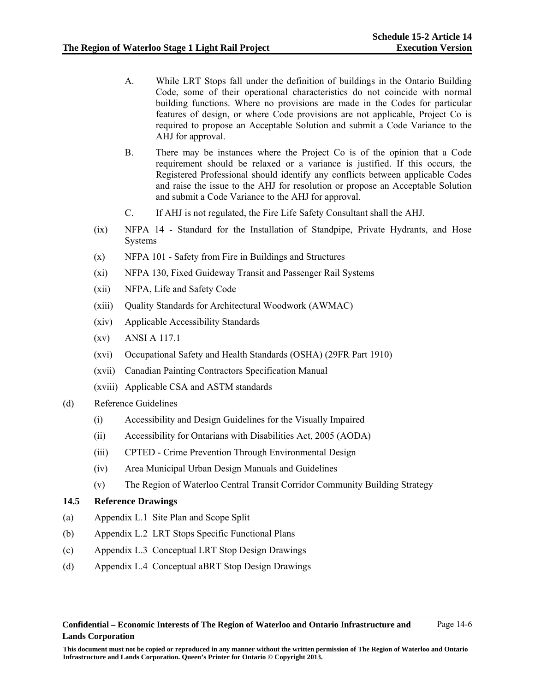Page 14-6

- A. While LRT Stops fall under the definition of buildings in the Ontario Building Code, some of their operational characteristics do not coincide with normal building functions. Where no provisions are made in the Codes for particular features of design, or where Code provisions are not applicable, Project Co is required to propose an Acceptable Solution and submit a Code Variance to the AHJ for approval.
- B. There may be instances where the Project Co is of the opinion that a Code requirement should be relaxed or a variance is justified. If this occurs, the Registered Professional should identify any conflicts between applicable Codes and raise the issue to the AHJ for resolution or propose an Acceptable Solution and submit a Code Variance to the AHJ for approval.
- C. If AHJ is not regulated, the Fire Life Safety Consultant shall the AHJ.
- (ix) NFPA 14 Standard for the Installation of Standpipe, Private Hydrants, and Hose Systems
- (x) NFPA 101 Safety from Fire in Buildings and Structures
- (xi) NFPA 130, Fixed Guideway Transit and Passenger Rail Systems
- (xii) NFPA, Life and Safety Code
- (xiii) Quality Standards for Architectural Woodwork (AWMAC)
- (xiv) Applicable Accessibility Standards
- (xv) ANSI A 117.1
- (xvi) Occupational Safety and Health Standards (OSHA) (29FR Part 1910)
- (xvii) Canadian Painting Contractors Specification Manual
- (xviii) Applicable CSA and ASTM standards
- (d) Reference Guidelines
	- (i) Accessibility and Design Guidelines for the Visually Impaired
	- (ii) Accessibility for Ontarians with Disabilities Act, 2005 (AODA)
	- (iii) CPTED Crime Prevention Through Environmental Design
	- (iv) Area Municipal Urban Design Manuals and Guidelines
	- (v) The Region of Waterloo Central Transit Corridor Community Building Strategy

### **14.5 Reference Drawings**

- (a) Appendix L.1 Site Plan and Scope Split
- (b) Appendix L.2 LRT Stops Specific Functional Plans
- (c) Appendix L.3 Conceptual LRT Stop Design Drawings
- (d) Appendix L.4 Conceptual aBRT Stop Design Drawings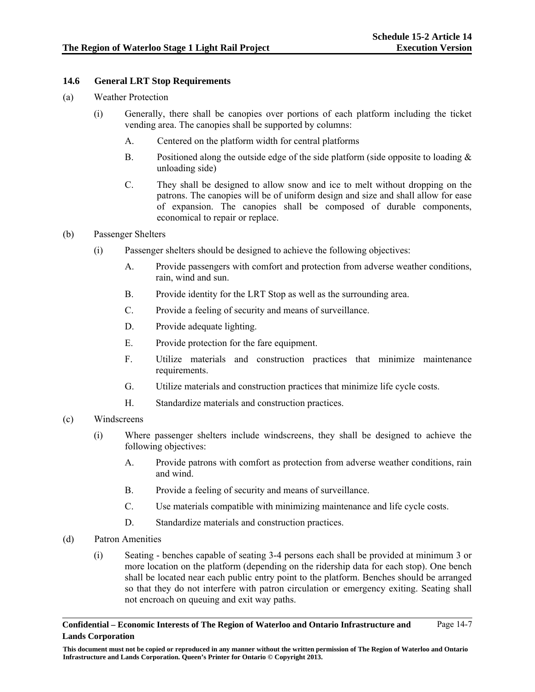### **14.6 General LRT Stop Requirements**

- (a) Weather Protection
	- (i) Generally, there shall be canopies over portions of each platform including the ticket vending area. The canopies shall be supported by columns:
		- A. Centered on the platform width for central platforms
		- B. Positioned along the outside edge of the side platform (side opposite to loading  $\&$ unloading side)
		- C. They shall be designed to allow snow and ice to melt without dropping on the patrons. The canopies will be of uniform design and size and shall allow for ease of expansion. The canopies shall be composed of durable components, economical to repair or replace.
- (b) Passenger Shelters
	- (i) Passenger shelters should be designed to achieve the following objectives:
		- A. Provide passengers with comfort and protection from adverse weather conditions, rain, wind and sun.
		- B. Provide identity for the LRT Stop as well as the surrounding area.
		- C. Provide a feeling of security and means of surveillance.
		- D. Provide adequate lighting.
		- E. Provide protection for the fare equipment.
		- F. Utilize materials and construction practices that minimize maintenance requirements.
		- G. Utilize materials and construction practices that minimize life cycle costs.
		- H. Standardize materials and construction practices.
- (c) Windscreens
	- (i) Where passenger shelters include windscreens, they shall be designed to achieve the following objectives:
		- A. Provide patrons with comfort as protection from adverse weather conditions, rain and wind.
		- B. Provide a feeling of security and means of surveillance.
		- C. Use materials compatible with minimizing maintenance and life cycle costs.
		- D. Standardize materials and construction practices.
- (d) Patron Amenities
	- (i) Seating benches capable of seating 3-4 persons each shall be provided at minimum 3 or more location on the platform (depending on the ridership data for each stop). One bench shall be located near each public entry point to the platform. Benches should be arranged so that they do not interfere with patron circulation or emergency exiting. Seating shall not encroach on queuing and exit way paths.

**This document must not be copied or reproduced in any manner without the written permission of The Region of Waterloo and Ontario Infrastructure and Lands Corporation. Queen's Printer for Ontario © Copyright 2013.**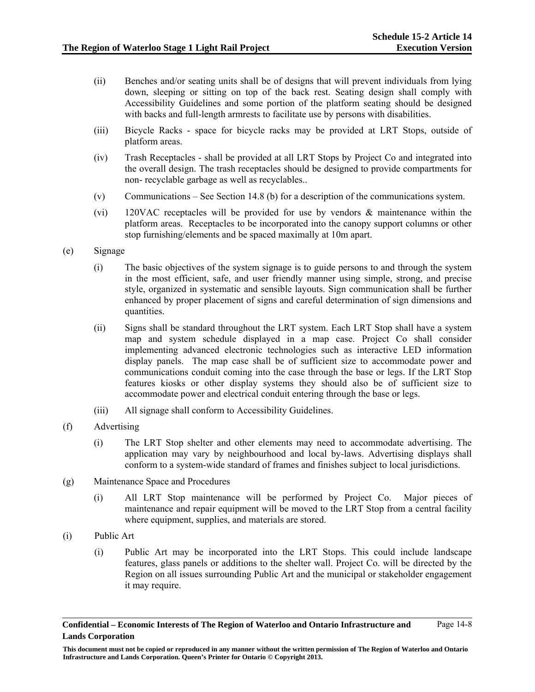- (ii) Benches and/or seating units shall be of designs that will prevent individuals from lying down, sleeping or sitting on top of the back rest. Seating design shall comply with Accessibility Guidelines and some portion of the platform seating should be designed with backs and full-length armrests to facilitate use by persons with disabilities.
- (iii) Bicycle Racks space for bicycle racks may be provided at LRT Stops, outside of platform areas.
- (iv) Trash Receptacles shall be provided at all LRT Stops by Project Co and integrated into the overall design. The trash receptacles should be designed to provide compartments for non- recyclable garbage as well as recyclables..
- (v) Communications See Section 14.8 (b) for a description of the communications system.
- (vi) 120VAC receptacles will be provided for use by vendors & maintenance within the platform areas. Receptacles to be incorporated into the canopy support columns or other stop furnishing/elements and be spaced maximally at 10m apart.
- (e) Signage
	- (i) The basic objectives of the system signage is to guide persons to and through the system in the most efficient, safe, and user friendly manner using simple, strong, and precise style, organized in systematic and sensible layouts. Sign communication shall be further enhanced by proper placement of signs and careful determination of sign dimensions and quantities.
	- (ii) Signs shall be standard throughout the LRT system. Each LRT Stop shall have a system map and system schedule displayed in a map case. Project Co shall consider implementing advanced electronic technologies such as interactive LED information display panels. The map case shall be of sufficient size to accommodate power and communications conduit coming into the case through the base or legs. If the LRT Stop features kiosks or other display systems they should also be of sufficient size to accommodate power and electrical conduit entering through the base or legs.
	- (iii) All signage shall conform to Accessibility Guidelines.
- (f) Advertising
	- (i) The LRT Stop shelter and other elements may need to accommodate advertising. The application may vary by neighbourhood and local by-laws. Advertising displays shall conform to a system-wide standard of frames and finishes subject to local jurisdictions.
- (g) Maintenance Space and Procedures
	- (i) All LRT Stop maintenance will be performed by Project Co. Major pieces of maintenance and repair equipment will be moved to the LRT Stop from a central facility where equipment, supplies, and materials are stored.
- (i) Public Art
	- (i) Public Art may be incorporated into the LRT Stops. This could include landscape features, glass panels or additions to the shelter wall. Project Co. will be directed by the Region on all issues surrounding Public Art and the municipal or stakeholder engagement it may require.

**Confidential – Economic Interests of The Region of Waterloo and Ontario Infrastructure and Lands Corporation**  Page 14-8

**This document must not be copied or reproduced in any manner without the written permission of The Region of Waterloo and Ontario Infrastructure and Lands Corporation. Queen's Printer for Ontario © Copyright 2013.**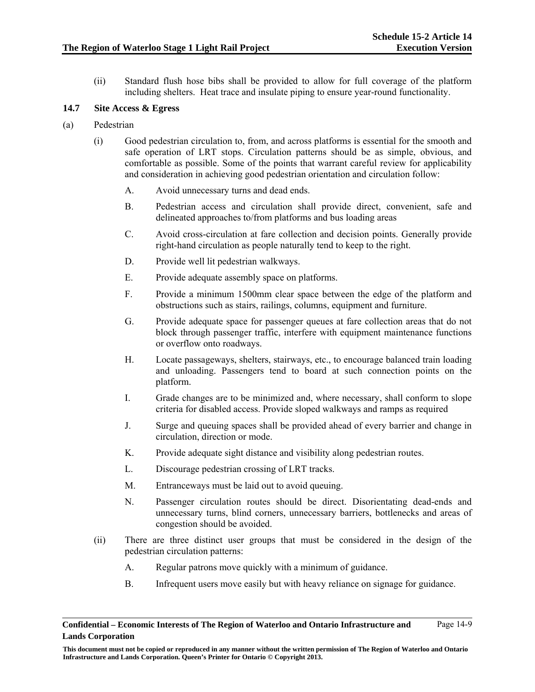(ii) Standard flush hose bibs shall be provided to allow for full coverage of the platform including shelters. Heat trace and insulate piping to ensure year-round functionality.

# **14.7 Site Access & Egress**

- (a) Pedestrian
	- (i) Good pedestrian circulation to, from, and across platforms is essential for the smooth and safe operation of LRT stops. Circulation patterns should be as simple, obvious, and comfortable as possible. Some of the points that warrant careful review for applicability and consideration in achieving good pedestrian orientation and circulation follow:
		- A. Avoid unnecessary turns and dead ends.
		- B. Pedestrian access and circulation shall provide direct, convenient, safe and delineated approaches to/from platforms and bus loading areas
		- C. Avoid cross-circulation at fare collection and decision points. Generally provide right-hand circulation as people naturally tend to keep to the right.
		- D. Provide well lit pedestrian walkways.
		- E. Provide adequate assembly space on platforms.
		- F. Provide a minimum 1500mm clear space between the edge of the platform and obstructions such as stairs, railings, columns, equipment and furniture.
		- G. Provide adequate space for passenger queues at fare collection areas that do not block through passenger traffic, interfere with equipment maintenance functions or overflow onto roadways.
		- H. Locate passageways, shelters, stairways, etc., to encourage balanced train loading and unloading. Passengers tend to board at such connection points on the platform.
		- I. Grade changes are to be minimized and, where necessary, shall conform to slope criteria for disabled access. Provide sloped walkways and ramps as required
		- J. Surge and queuing spaces shall be provided ahead of every barrier and change in circulation, direction or mode.
		- K. Provide adequate sight distance and visibility along pedestrian routes.
		- L. Discourage pedestrian crossing of LRT tracks.
		- M. Entranceways must be laid out to avoid queuing.
		- N. Passenger circulation routes should be direct. Disorientating dead-ends and unnecessary turns, blind corners, unnecessary barriers, bottlenecks and areas of congestion should be avoided.
	- (ii) There are three distinct user groups that must be considered in the design of the pedestrian circulation patterns:
		- A. Regular patrons move quickly with a minimum of guidance.
		- B. Infrequent users move easily but with heavy reliance on signage for guidance.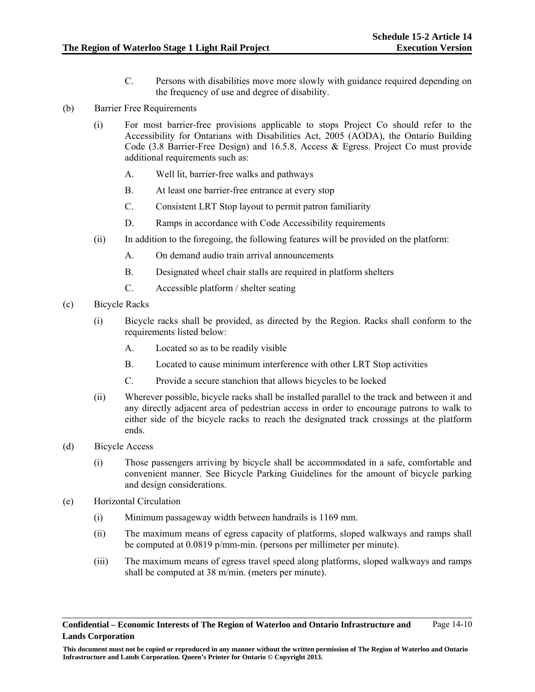- C. Persons with disabilities move more slowly with guidance required depending on the frequency of use and degree of disability.
- (b) Barrier Free Requirements
	- (i) For most barrier-free provisions applicable to stops Project Co should refer to the Accessibility for Ontarians with Disabilities Act, 2005 (AODA), the Ontario Building Code (3.8 Barrier-Free Design) and 16.5.8, Access & Egress. Project Co must provide additional requirements such as:
		- A. Well lit, barrier-free walks and pathways
		- B. At least one barrier-free entrance at every stop
		- C. Consistent LRT Stop layout to permit patron familiarity
		- D. Ramps in accordance with Code Accessibility requirements
	- (ii) In addition to the foregoing, the following features will be provided on the platform:
		- A. On demand audio train arrival announcements
		- B. Designated wheel chair stalls are required in platform shelters
		- C. Accessible platform / shelter seating
- (c) Bicycle Racks
	- (i) Bicycle racks shall be provided, as directed by the Region. Racks shall conform to the requirements listed below:
		- A. Located so as to be readily visible
		- B. Located to cause minimum interference with other LRT Stop activities
		- C. Provide a secure stanchion that allows bicycles to be locked
	- (ii) Wherever possible, bicycle racks shall be installed parallel to the track and between it and any directly adjacent area of pedestrian access in order to encourage patrons to walk to either side of the bicycle racks to reach the designated track crossings at the platform ends.
- (d) Bicycle Access
	- (i) Those passengers arriving by bicycle shall be accommodated in a safe, comfortable and convenient manner. See Bicycle Parking Guidelines for the amount of bicycle parking and design considerations.
- (e) Horizontal Circulation
	- (i) Minimum passageway width between handrails is 1169 mm.
	- (ii) The maximum means of egress capacity of platforms, sloped walkways and ramps shall be computed at 0.0819 p/mm-min. (persons per millimeter per minute).
	- (iii) The maximum means of egress travel speed along platforms, sloped walkways and ramps shall be computed at 38 m/min. (meters per minute).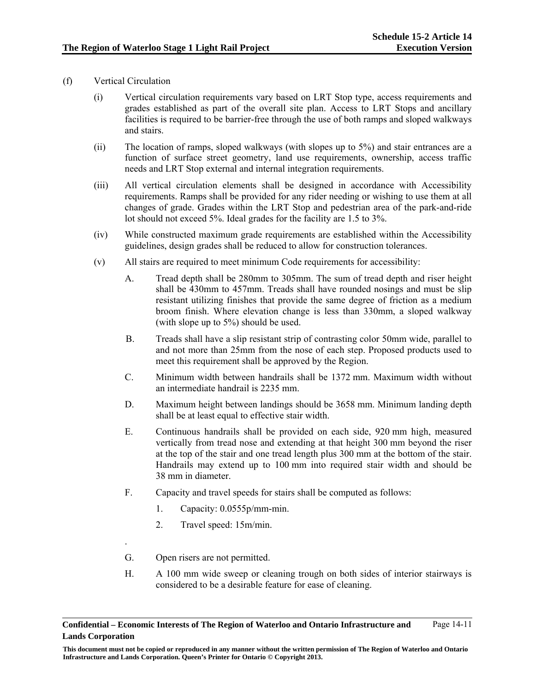- (f) Vertical Circulation
	- (i) Vertical circulation requirements vary based on LRT Stop type, access requirements and grades established as part of the overall site plan. Access to LRT Stops and ancillary facilities is required to be barrier-free through the use of both ramps and sloped walkways and stairs.
	- (ii) The location of ramps, sloped walkways (with slopes up to 5%) and stair entrances are a function of surface street geometry, land use requirements, ownership, access traffic needs and LRT Stop external and internal integration requirements.
	- (iii) All vertical circulation elements shall be designed in accordance with Accessibility requirements. Ramps shall be provided for any rider needing or wishing to use them at all changes of grade. Grades within the LRT Stop and pedestrian area of the park-and-ride lot should not exceed 5%. Ideal grades for the facility are 1.5 to 3%.
	- (iv) While constructed maximum grade requirements are established within the Accessibility guidelines, design grades shall be reduced to allow for construction tolerances.
	- (v) All stairs are required to meet minimum Code requirements for accessibility:
		- A. Tread depth shall be 280mm to 305mm. The sum of tread depth and riser height shall be 430mm to 457mm. Treads shall have rounded nosings and must be slip resistant utilizing finishes that provide the same degree of friction as a medium broom finish. Where elevation change is less than 330mm, a sloped walkway (with slope up to 5%) should be used.
		- B. Treads shall have a slip resistant strip of contrasting color 50mm wide, parallel to and not more than 25mm from the nose of each step. Proposed products used to meet this requirement shall be approved by the Region.
		- C. Minimum width between handrails shall be 1372 mm. Maximum width without an intermediate handrail is 2235 mm.
		- D. Maximum height between landings should be 3658 mm. Minimum landing depth shall be at least equal to effective stair width.
		- E. Continuous handrails shall be provided on each side, 920 mm high, measured vertically from tread nose and extending at that height 300 mm beyond the riser at the top of the stair and one tread length plus 300 mm at the bottom of the stair. Handrails may extend up to 100 mm into required stair width and should be 38 mm in diameter.
		- F. Capacity and travel speeds for stairs shall be computed as follows:
			- 1. Capacity: 0.0555p/mm-min.
			- 2. Travel speed: 15m/min.
		- G. Open risers are not permitted.

.

H. A 100 mm wide sweep or cleaning trough on both sides of interior stairways is considered to be a desirable feature for ease of cleaning.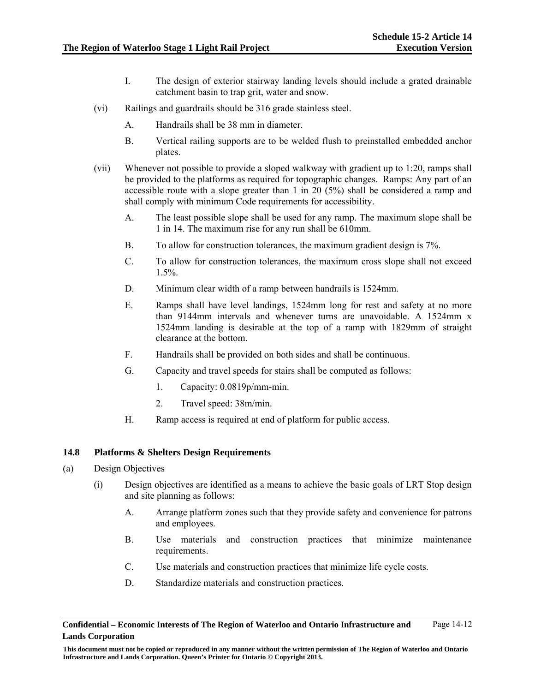- I. The design of exterior stairway landing levels should include a grated drainable catchment basin to trap grit, water and snow.
- (vi) Railings and guardrails should be 316 grade stainless steel.
	- A. Handrails shall be 38 mm in diameter.
	- B. Vertical railing supports are to be welded flush to preinstalled embedded anchor plates.
- (vii) Whenever not possible to provide a sloped walkway with gradient up to 1:20, ramps shall be provided to the platforms as required for topographic changes. Ramps: Any part of an accessible route with a slope greater than 1 in 20 (5%) shall be considered a ramp and shall comply with minimum Code requirements for accessibility.
	- A. The least possible slope shall be used for any ramp. The maximum slope shall be 1 in 14. The maximum rise for any run shall be 610mm.
	- B. To allow for construction tolerances, the maximum gradient design is 7%.
	- C. To allow for construction tolerances, the maximum cross slope shall not exceed  $1.5\%$ .
	- D. Minimum clear width of a ramp between handrails is 1524mm.
	- E. Ramps shall have level landings, 1524mm long for rest and safety at no more than 9144mm intervals and whenever turns are unavoidable. A 1524mm x 1524mm landing is desirable at the top of a ramp with 1829mm of straight clearance at the bottom.
	- F. Handrails shall be provided on both sides and shall be continuous.
	- G. Capacity and travel speeds for stairs shall be computed as follows:
		- 1. Capacity: 0.0819p/mm-min.
		- 2. Travel speed: 38m/min.
	- H. Ramp access is required at end of platform for public access.

### **14.8 Platforms & Shelters Design Requirements**

- (a) Design Objectives
	- (i) Design objectives are identified as a means to achieve the basic goals of LRT Stop design and site planning as follows:
		- A. Arrange platform zones such that they provide safety and convenience for patrons and employees.
		- B. Use materials and construction practices that minimize maintenance requirements.
		- C. Use materials and construction practices that minimize life cycle costs.
		- D. Standardize materials and construction practices.

**Confidential – Economic Interests of The Region of Waterloo and Ontario Infrastructure and Lands Corporation**  Page 14-12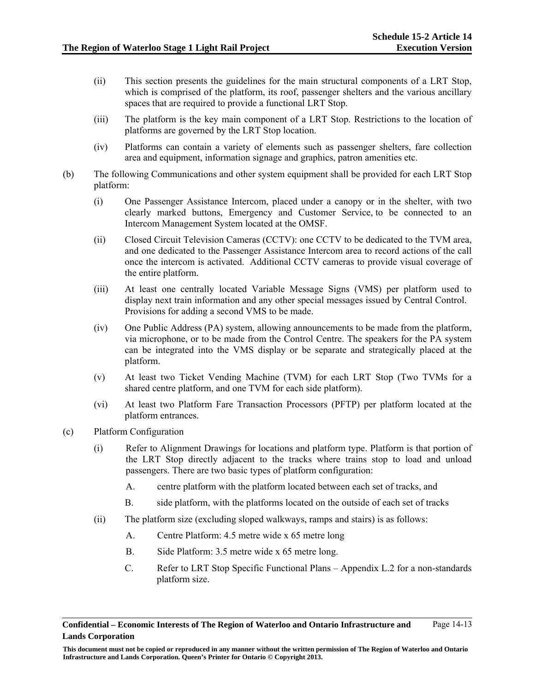- (ii) This section presents the guidelines for the main structural components of a LRT Stop, which is comprised of the platform, its roof, passenger shelters and the various ancillary spaces that are required to provide a functional LRT Stop.
- (iii) The platform is the key main component of a LRT Stop. Restrictions to the location of platforms are governed by the LRT Stop location.
- (iv) Platforms can contain a variety of elements such as passenger shelters, fare collection area and equipment, information signage and graphics, patron amenities etc.
- (b) The following Communications and other system equipment shall be provided for each LRT Stop platform:
	- (i) One Passenger Assistance Intercom, placed under a canopy or in the shelter, with two clearly marked buttons, Emergency and Customer Service, to be connected to an Intercom Management System located at the OMSF.
	- (ii) Closed Circuit Television Cameras (CCTV): one CCTV to be dedicated to the TVM area, and one dedicated to the Passenger Assistance Intercom area to record actions of the call once the intercom is activated. Additional CCTV cameras to provide visual coverage of the entire platform.
	- (iii) At least one centrally located Variable Message Signs (VMS) per platform used to display next train information and any other special messages issued by Central Control. Provisions for adding a second VMS to be made.
	- (iv) One Public Address (PA) system, allowing announcements to be made from the platform, via microphone, or to be made from the Control Centre. The speakers for the PA system can be integrated into the VMS display or be separate and strategically placed at the platform.
	- (v) At least two Ticket Vending Machine (TVM) for each LRT Stop (Two TVMs for a shared centre platform, and one TVM for each side platform).
	- (vi) At least two Platform Fare Transaction Processors (PFTP) per platform located at the platform entrances.
- (c) Platform Configuration
	- (i) Refer to Alignment Drawings for locations and platform type. Platform is that portion of the LRT Stop directly adjacent to the tracks where trains stop to load and unload passengers. There are two basic types of platform configuration:
		- A. centre platform with the platform located between each set of tracks, and
		- B. side platform, with the platforms located on the outside of each set of tracks
	- (ii) The platform size (excluding sloped walkways, ramps and stairs) is as follows:
		- A. Centre Platform: 4.5 metre wide x 65 metre long
		- B. Side Platform: 3.5 metre wide x 65 metre long.
		- C. Refer to LRT Stop Specific Functional Plans Appendix L.2 for a non-standards platform size.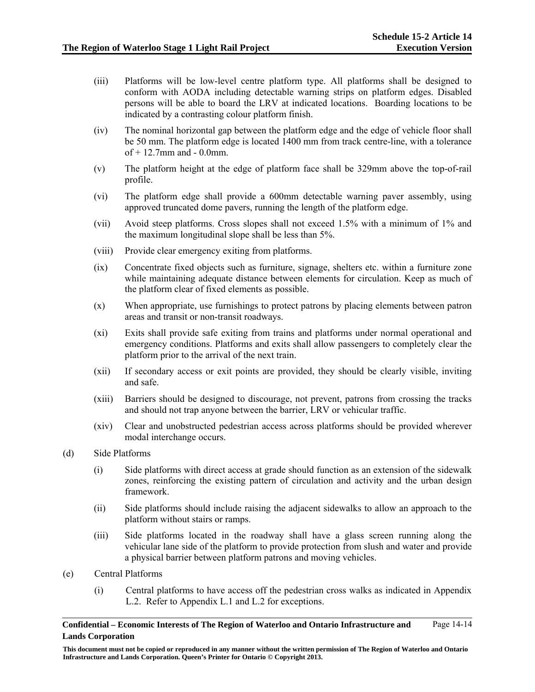- (iii) Platforms will be low-level centre platform type. All platforms shall be designed to conform with AODA including detectable warning strips on platform edges. Disabled persons will be able to board the LRV at indicated locations. Boarding locations to be indicated by a contrasting colour platform finish.
- (iv) The nominal horizontal gap between the platform edge and the edge of vehicle floor shall be 50 mm. The platform edge is located 1400 mm from track centre-line, with a tolerance of  $+$  12.7mm and  $-$  0.0mm.
- (v) The platform height at the edge of platform face shall be 329mm above the top-of-rail profile.
- (vi) The platform edge shall provide a 600mm detectable warning paver assembly, using approved truncated dome pavers, running the length of the platform edge.
- (vii) Avoid steep platforms. Cross slopes shall not exceed 1.5% with a minimum of 1% and the maximum longitudinal slope shall be less than 5%.
- (viii) Provide clear emergency exiting from platforms.
- (ix) Concentrate fixed objects such as furniture, signage, shelters etc. within a furniture zone while maintaining adequate distance between elements for circulation. Keep as much of the platform clear of fixed elements as possible.
- (x) When appropriate, use furnishings to protect patrons by placing elements between patron areas and transit or non-transit roadways.
- (xi) Exits shall provide safe exiting from trains and platforms under normal operational and emergency conditions. Platforms and exits shall allow passengers to completely clear the platform prior to the arrival of the next train.
- (xii) If secondary access or exit points are provided, they should be clearly visible, inviting and safe.
- (xiii) Barriers should be designed to discourage, not prevent, patrons from crossing the tracks and should not trap anyone between the barrier, LRV or vehicular traffic.
- (xiv) Clear and unobstructed pedestrian access across platforms should be provided wherever modal interchange occurs.
- (d) Side Platforms
	- (i) Side platforms with direct access at grade should function as an extension of the sidewalk zones, reinforcing the existing pattern of circulation and activity and the urban design framework.
	- (ii) Side platforms should include raising the adjacent sidewalks to allow an approach to the platform without stairs or ramps.
	- (iii) Side platforms located in the roadway shall have a glass screen running along the vehicular lane side of the platform to provide protection from slush and water and provide a physical barrier between platform patrons and moving vehicles.
- (e) Central Platforms
	- (i) Central platforms to have access off the pedestrian cross walks as indicated in Appendix L.2. Refer to Appendix L.1 and L.2 for exceptions.

**This document must not be copied or reproduced in any manner without the written permission of The Region of Waterloo and Ontario Infrastructure and Lands Corporation. Queen's Printer for Ontario © Copyright 2013.**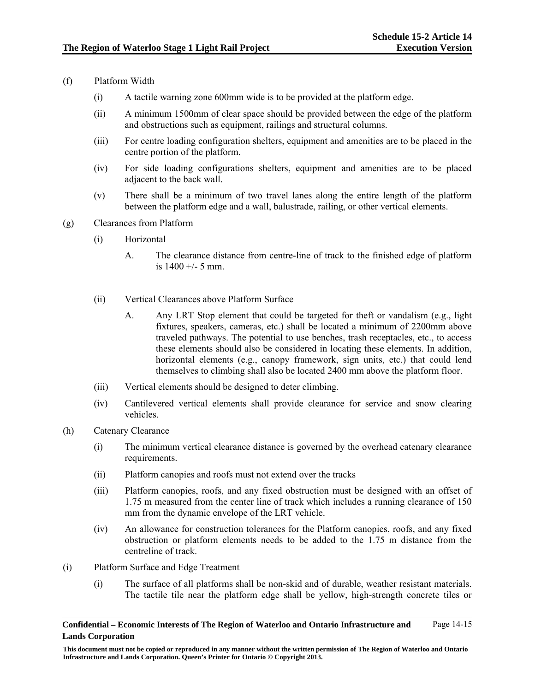- (f) Platform Width
	- (i) A tactile warning zone 600mm wide is to be provided at the platform edge.
	- (ii) A minimum 1500mm of clear space should be provided between the edge of the platform and obstructions such as equipment, railings and structural columns.
	- (iii) For centre loading configuration shelters, equipment and amenities are to be placed in the centre portion of the platform.
	- (iv) For side loading configurations shelters, equipment and amenities are to be placed adjacent to the back wall.
	- (v) There shall be a minimum of two travel lanes along the entire length of the platform between the platform edge and a wall, balustrade, railing, or other vertical elements.
- (g) Clearances from Platform
	- (i) Horizontal
		- A. The clearance distance from centre-line of track to the finished edge of platform is 1400 +/- 5 mm.
	- (ii) Vertical Clearances above Platform Surface
		- A. Any LRT Stop element that could be targeted for theft or vandalism (e.g., light fixtures, speakers, cameras, etc.) shall be located a minimum of 2200mm above traveled pathways. The potential to use benches, trash receptacles, etc., to access these elements should also be considered in locating these elements. In addition, horizontal elements (e.g., canopy framework, sign units, etc.) that could lend themselves to climbing shall also be located 2400 mm above the platform floor.
	- (iii) Vertical elements should be designed to deter climbing.
	- (iv) Cantilevered vertical elements shall provide clearance for service and snow clearing vehicles.
- (h) Catenary Clearance
	- (i) The minimum vertical clearance distance is governed by the overhead catenary clearance requirements.
	- (ii) Platform canopies and roofs must not extend over the tracks
	- (iii) Platform canopies, roofs, and any fixed obstruction must be designed with an offset of 1.75 m measured from the center line of track which includes a running clearance of 150 mm from the dynamic envelope of the LRT vehicle.
	- (iv) An allowance for construction tolerances for the Platform canopies, roofs, and any fixed obstruction or platform elements needs to be added to the 1.75 m distance from the centreline of track.
- (i) Platform Surface and Edge Treatment
	- (i) The surface of all platforms shall be non-skid and of durable, weather resistant materials. The tactile tile near the platform edge shall be yellow, high-strength concrete tiles or

**This document must not be copied or reproduced in any manner without the written permission of The Region of Waterloo and Ontario Infrastructure and Lands Corporation. Queen's Printer for Ontario © Copyright 2013.**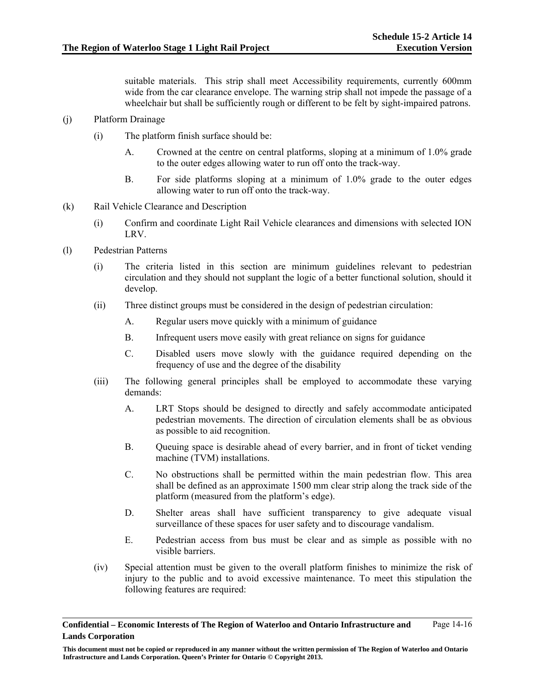suitable materials. This strip shall meet Accessibility requirements, currently 600mm wide from the car clearance envelope. The warning strip shall not impede the passage of a wheelchair but shall be sufficiently rough or different to be felt by sight-impaired patrons.

- (j) Platform Drainage
	- (i) The platform finish surface should be:
		- A. Crowned at the centre on central platforms, sloping at a minimum of 1.0% grade to the outer edges allowing water to run off onto the track-way.
		- B. For side platforms sloping at a minimum of 1.0% grade to the outer edges allowing water to run off onto the track-way.
- (k) Rail Vehicle Clearance and Description
	- (i) Confirm and coordinate Light Rail Vehicle clearances and dimensions with selected ION LRV.
- (l) Pedestrian Patterns
	- (i) The criteria listed in this section are minimum guidelines relevant to pedestrian circulation and they should not supplant the logic of a better functional solution, should it develop.
	- (ii) Three distinct groups must be considered in the design of pedestrian circulation:
		- A. Regular users move quickly with a minimum of guidance
		- B. Infrequent users move easily with great reliance on signs for guidance
		- C. Disabled users move slowly with the guidance required depending on the frequency of use and the degree of the disability
	- (iii) The following general principles shall be employed to accommodate these varying demands:
		- A. LRT Stops should be designed to directly and safely accommodate anticipated pedestrian movements. The direction of circulation elements shall be as obvious as possible to aid recognition.
		- B. Queuing space is desirable ahead of every barrier, and in front of ticket vending machine (TVM) installations.
		- C. No obstructions shall be permitted within the main pedestrian flow. This area shall be defined as an approximate 1500 mm clear strip along the track side of the platform (measured from the platform's edge).
		- D. Shelter areas shall have sufficient transparency to give adequate visual surveillance of these spaces for user safety and to discourage vandalism.
		- E. Pedestrian access from bus must be clear and as simple as possible with no visible barriers.
	- (iv) Special attention must be given to the overall platform finishes to minimize the risk of injury to the public and to avoid excessive maintenance. To meet this stipulation the following features are required:

**Confidential – Economic Interests of The Region of Waterloo and Ontario Infrastructure and Lands Corporation**  Page 14-16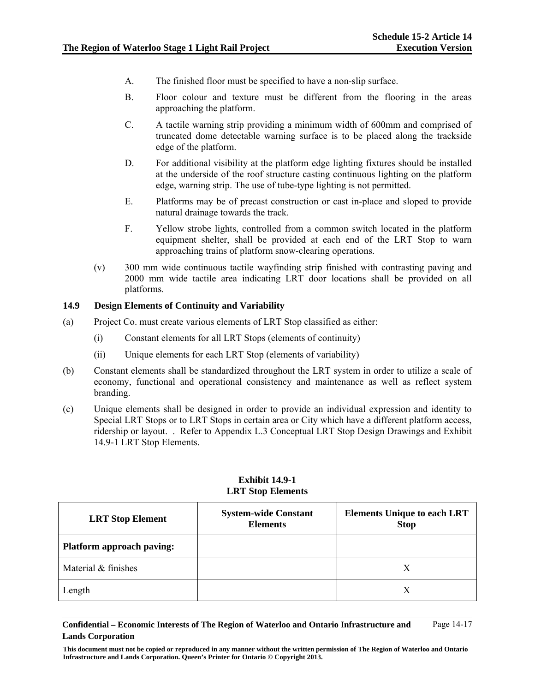- A. The finished floor must be specified to have a non-slip surface.
- B. Floor colour and texture must be different from the flooring in the areas approaching the platform.
- C. A tactile warning strip providing a minimum width of 600mm and comprised of truncated dome detectable warning surface is to be placed along the trackside edge of the platform.
- D. For additional visibility at the platform edge lighting fixtures should be installed at the underside of the roof structure casting continuous lighting on the platform edge, warning strip. The use of tube-type lighting is not permitted.
- E. Platforms may be of precast construction or cast in-place and sloped to provide natural drainage towards the track.
- F. Yellow strobe lights, controlled from a common switch located in the platform equipment shelter, shall be provided at each end of the LRT Stop to warn approaching trains of platform snow-clearing operations.
- (v) 300 mm wide continuous tactile wayfinding strip finished with contrasting paving and 2000 mm wide tactile area indicating LRT door locations shall be provided on all platforms.

### **14.9 Design Elements of Continuity and Variability**

- (a) Project Co. must create various elements of LRT Stop classified as either:
	- (i) Constant elements for all LRT Stops (elements of continuity)
	- (ii) Unique elements for each LRT Stop (elements of variability)
- (b) Constant elements shall be standardized throughout the LRT system in order to utilize a scale of economy, functional and operational consistency and maintenance as well as reflect system branding.
- (c) Unique elements shall be designed in order to provide an individual expression and identity to Special LRT Stops or to LRT Stops in certain area or City which have a different platform access, ridership or layout. . Refer to Appendix L.3 Conceptual LRT Stop Design Drawings and Exhibit 14.9-1 LRT Stop Elements.

| <b>LRT Stop Element</b>          | <b>System-wide Constant</b><br><b>Elements</b> | <b>Elements Unique to each LRT</b><br><b>Stop</b> |
|----------------------------------|------------------------------------------------|---------------------------------------------------|
| <b>Platform approach paving:</b> |                                                |                                                   |
| Material & finishes              |                                                | Х                                                 |
| Length                           |                                                | X                                                 |

### **Exhibit 14.9-1 LRT Stop Elements**

#### **Confidential – Economic Interests of The Region of Waterloo and Ontario Infrastructure and Lands Corporation**  Page 14-17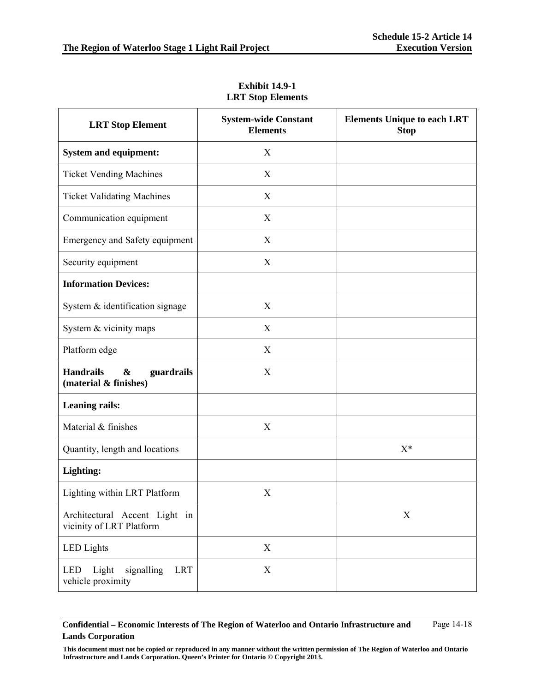| <b>LRT Stop Element</b>                                                      | <b>System-wide Constant</b><br><b>Elements</b> | <b>Elements Unique to each LRT</b><br><b>Stop</b> |
|------------------------------------------------------------------------------|------------------------------------------------|---------------------------------------------------|
| <b>System and equipment:</b>                                                 | X                                              |                                                   |
| <b>Ticket Vending Machines</b>                                               | X                                              |                                                   |
| <b>Ticket Validating Machines</b>                                            | X                                              |                                                   |
| Communication equipment                                                      | X                                              |                                                   |
| Emergency and Safety equipment                                               | X                                              |                                                   |
| Security equipment                                                           | X                                              |                                                   |
| <b>Information Devices:</b>                                                  |                                                |                                                   |
| System & identification signage                                              | X                                              |                                                   |
| System & vicinity maps                                                       | X                                              |                                                   |
| Platform edge                                                                | X                                              |                                                   |
| <b>Handrails</b><br>$\boldsymbol{\&}$<br>guardrails<br>(material & finishes) | X                                              |                                                   |
| <b>Leaning rails:</b>                                                        |                                                |                                                   |
| Material & finishes                                                          | X                                              |                                                   |
| Quantity, length and locations                                               |                                                | $X^*$                                             |
| Lighting:                                                                    |                                                |                                                   |
| Lighting within LRT Platform                                                 | X                                              |                                                   |
| Architectural Accent Light in<br>vicinity of LRT Platform                    |                                                | X                                                 |
| <b>LED</b> Lights                                                            | $\boldsymbol{\mathrm{X}}$                      |                                                   |
| Light<br>signalling<br><b>LRT</b><br>LED<br>vehicle proximity                | $\boldsymbol{\mathrm{X}}$                      |                                                   |

**Exhibit 14.9-1 LRT Stop Elements**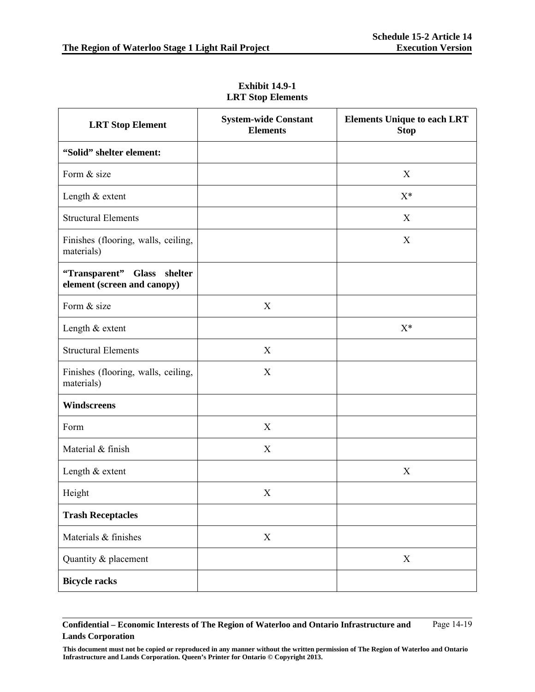| <b>LRT Stop Element</b>                                    | <b>System-wide Constant</b><br><b>Elements</b> | <b>Elements Unique to each LRT</b><br><b>Stop</b> |
|------------------------------------------------------------|------------------------------------------------|---------------------------------------------------|
| "Solid" shelter element:                                   |                                                |                                                   |
| Form & size                                                |                                                | X                                                 |
| Length & extent                                            |                                                | $X^*$                                             |
| <b>Structural Elements</b>                                 |                                                | X                                                 |
| Finishes (flooring, walls, ceiling,<br>materials)          |                                                | X                                                 |
| "Transparent" Glass shelter<br>element (screen and canopy) |                                                |                                                   |
| Form & size                                                | X                                              |                                                   |
| Length & extent                                            |                                                | $X^*$                                             |
| <b>Structural Elements</b>                                 | X                                              |                                                   |
| Finishes (flooring, walls, ceiling,<br>materials)          | X                                              |                                                   |
| Windscreens                                                |                                                |                                                   |
| Form                                                       | X                                              |                                                   |
| Material & finish                                          | X                                              |                                                   |
| Length & extent                                            |                                                | X                                                 |
| Height                                                     | X                                              |                                                   |
| <b>Trash Receptacles</b>                                   |                                                |                                                   |
| Materials & finishes                                       | $\mathbf X$                                    |                                                   |
| Quantity & placement                                       |                                                | $\boldsymbol{\mathrm{X}}$                         |
| <b>Bicycle racks</b>                                       |                                                |                                                   |

**Exhibit 14.9-1 LRT Stop Elements**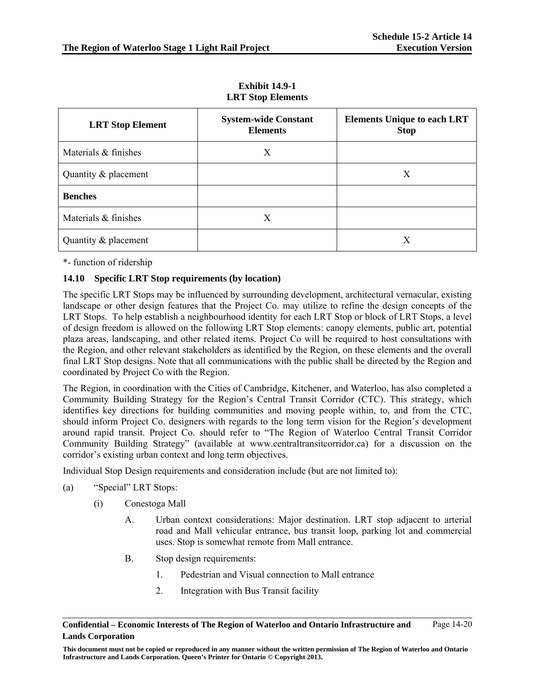| <b>LRT Stop Element</b> | <b>System-wide Constant</b><br><b>Elements</b> | <b>Elements Unique to each LRT</b><br><b>Stop</b> |
|-------------------------|------------------------------------------------|---------------------------------------------------|
| Materials & finishes    | X                                              |                                                   |
| Quantity & placement    |                                                | X                                                 |
| <b>Benches</b>          |                                                |                                                   |
| Materials & finishes    | X                                              |                                                   |
| Quantity & placement    |                                                | X                                                 |

**Exhibit 14.9-1 LRT Stop Elements** 

\*- function of ridership

# **14.10 Specific LRT Stop requirements (by location)**

The specific LRT Stops may be influenced by surrounding development, architectural vernacular, existing landscape or other design features that the Project Co. may utilize to refine the design concepts of the LRT Stops. To help establish a neighbourhood identity for each LRT Stop or block of LRT Stops, a level of design freedom is allowed on the following LRT Stop elements: canopy elements, public art, potential plaza areas, landscaping, and other related items. Project Co will be required to host consultations with the Region, and other relevant stakeholders as identified by the Region, on these elements and the overall final LRT Stop designs. Note that all communications with the public shall be directed by the Region and coordinated by Project Co with the Region.

The Region, in coordination with the Cities of Cambridge, Kitchener, and Waterloo, has also completed a Community Building Strategy for the Region's Central Transit Corridor (CTC). This strategy, which identifies key directions for building communities and moving people within, to, and from the CTC, should inform Project Co. designers with regards to the long term vision for the Region's development around rapid transit. Project Co. should refer to "The Region of Waterloo Central Transit Corridor Community Building Strategy" (available at www.centraltransitcorridor.ca) for a discussion on the corridor's existing urban context and long term objectives.

Individual Stop Design requirements and consideration include (but are not limited to):

- (a) "Special" LRT Stops:
	- (i) Conestoga Mall
		- A. Urban context considerations: Major destination. LRT stop adjacent to arterial road and Mall vehicular entrance, bus transit loop, parking lot and commercial uses. Stop is somewhat remote from Mall entrance.
		- B. Stop design requirements:
			- 1. Pedestrian and Visual connection to Mall entrance
			- 2. Integration with Bus Transit facility

**Confidential – Economic Interests of The Region of Waterloo and Ontario Infrastructure and Lands Corporation**  Page 14-20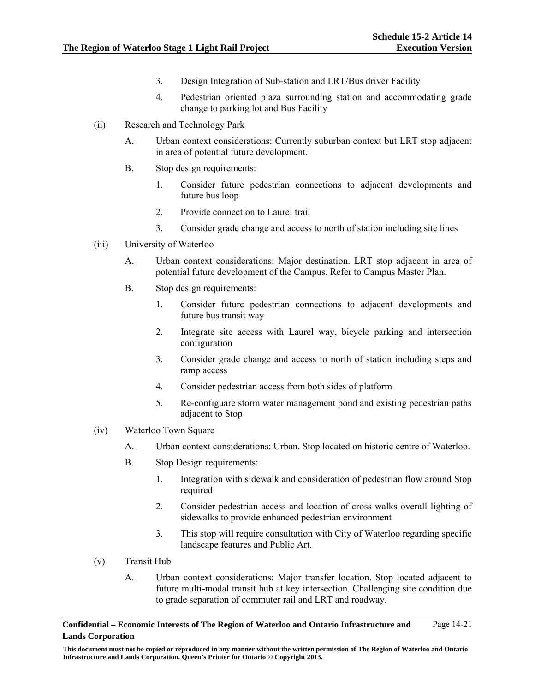- 3. Design Integration of Sub-station and LRT/Bus driver Facility
- 4. Pedestrian oriented plaza surrounding station and accommodating grade change to parking lot and Bus Facility
- (ii) Research and Technology Park
	- A. Urban context considerations: Currently suburban context but LRT stop adjacent in area of potential future development.
	- B. Stop design requirements:
		- 1. Consider future pedestrian connections to adjacent developments and future bus loop
		- 2. Provide connection to Laurel trail
		- 3. Consider grade change and access to north of station including site lines
- (iii) University of Waterloo
	- A. Urban context considerations: Major destination. LRT stop adjacent in area of potential future development of the Campus. Refer to Campus Master Plan.
	- B. Stop design requirements:
		- 1. Consider future pedestrian connections to adjacent developments and future bus transit way
		- 2. Integrate site access with Laurel way, bicycle parking and intersection configuration
		- 3. Consider grade change and access to north of station including steps and ramp access
		- 4. Consider pedestrian access from both sides of platform
		- 5. Re-configuare storm water management pond and existing pedestrian paths adjacent to Stop
- (iv) Waterloo Town Square
	- A. Urban context considerations: Urban. Stop located on historic centre of Waterloo.
	- B. Stop Design requirements:
		- 1. Integration with sidewalk and consideration of pedestrian flow around Stop required
		- 2. Consider pedestrian access and location of cross walks overall lighting of sidewalks to provide enhanced pedestrian environment
		- 3. This stop will require consultation with City of Waterloo regarding specific landscape features and Public Art.
- (v) Transit Hub
	- A. Urban context considerations: Major transfer location. Stop located adjacent to future multi-modal transit hub at key intersection. Challenging site condition due to grade separation of commuter rail and LRT and roadway.

**This document must not be copied or reproduced in any manner without the written permission of The Region of Waterloo and Ontario Infrastructure and Lands Corporation. Queen's Printer for Ontario © Copyright 2013.**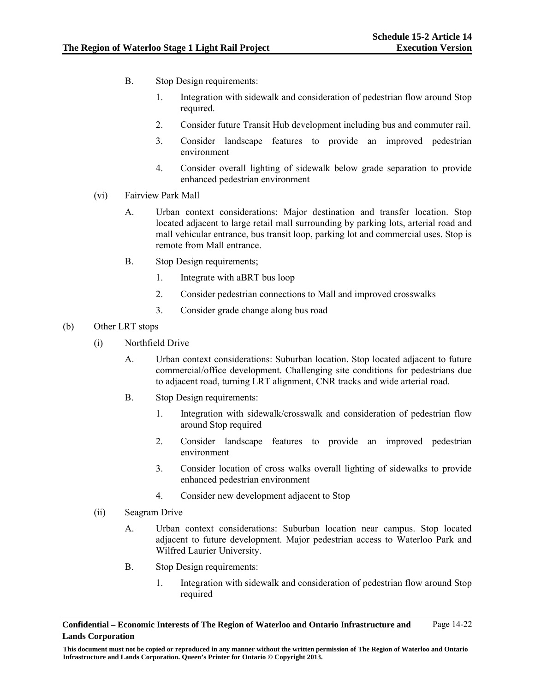- B. Stop Design requirements:
	- 1. Integration with sidewalk and consideration of pedestrian flow around Stop required.
	- 2. Consider future Transit Hub development including bus and commuter rail.
	- 3. Consider landscape features to provide an improved pedestrian environment
	- 4. Consider overall lighting of sidewalk below grade separation to provide enhanced pedestrian environment
- (vi) Fairview Park Mall
	- A. Urban context considerations: Major destination and transfer location. Stop located adjacent to large retail mall surrounding by parking lots, arterial road and mall vehicular entrance, bus transit loop, parking lot and commercial uses. Stop is remote from Mall entrance.
	- B. Stop Design requirements;
		- 1. Integrate with aBRT bus loop
		- 2. Consider pedestrian connections to Mall and improved crosswalks
		- 3. Consider grade change along bus road

# (b) Other LRT stops

- (i) Northfield Drive
	- A. Urban context considerations: Suburban location. Stop located adjacent to future commercial/office development. Challenging site conditions for pedestrians due to adjacent road, turning LRT alignment, CNR tracks and wide arterial road.
	- B. Stop Design requirements:
		- 1. Integration with sidewalk/crosswalk and consideration of pedestrian flow around Stop required
		- 2. Consider landscape features to provide an improved pedestrian environment
		- 3. Consider location of cross walks overall lighting of sidewalks to provide enhanced pedestrian environment
		- 4. Consider new development adjacent to Stop
- (ii) Seagram Drive
	- A. Urban context considerations: Suburban location near campus. Stop located adjacent to future development. Major pedestrian access to Waterloo Park and Wilfred Laurier University.
	- B. Stop Design requirements:
		- 1. Integration with sidewalk and consideration of pedestrian flow around Stop required

**Confidential – Economic Interests of The Region of Waterloo and Ontario Infrastructure and Lands Corporation**  Page 14-22

**This document must not be copied or reproduced in any manner without the written permission of The Region of Waterloo and Ontario Infrastructure and Lands Corporation. Queen's Printer for Ontario © Copyright 2013.**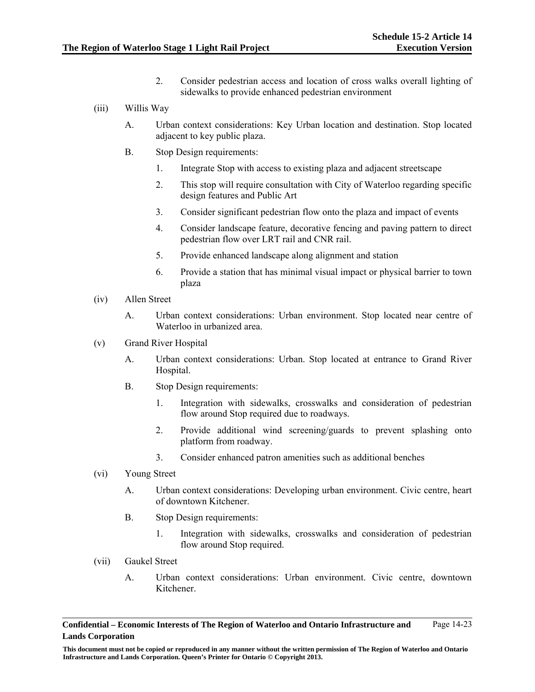- 2. Consider pedestrian access and location of cross walks overall lighting of sidewalks to provide enhanced pedestrian environment
- (iii) Willis Way
	- A. Urban context considerations: Key Urban location and destination. Stop located adjacent to key public plaza.
	- B. Stop Design requirements:
		- 1. Integrate Stop with access to existing plaza and adjacent streetscape
		- 2. This stop will require consultation with City of Waterloo regarding specific design features and Public Art
		- 3. Consider significant pedestrian flow onto the plaza and impact of events
		- 4. Consider landscape feature, decorative fencing and paving pattern to direct pedestrian flow over LRT rail and CNR rail.
		- 5. Provide enhanced landscape along alignment and station
		- 6. Provide a station that has minimal visual impact or physical barrier to town plaza
- (iv) Allen Street
	- A. Urban context considerations: Urban environment. Stop located near centre of Waterloo in urbanized area.
- (v) Grand River Hospital
	- A. Urban context considerations: Urban. Stop located at entrance to Grand River Hospital.
	- B. Stop Design requirements:
		- 1. Integration with sidewalks, crosswalks and consideration of pedestrian flow around Stop required due to roadways.
		- 2. Provide additional wind screening/guards to prevent splashing onto platform from roadway.
		- 3. Consider enhanced patron amenities such as additional benches
- (vi) Young Street
	- A. Urban context considerations: Developing urban environment. Civic centre, heart of downtown Kitchener.
	- B. Stop Design requirements:
		- 1. Integration with sidewalks, crosswalks and consideration of pedestrian flow around Stop required.
- (vii) Gaukel Street
	- A. Urban context considerations: Urban environment. Civic centre, downtown Kitchener.

**This document must not be copied or reproduced in any manner without the written permission of The Region of Waterloo and Ontario Infrastructure and Lands Corporation. Queen's Printer for Ontario © Copyright 2013.**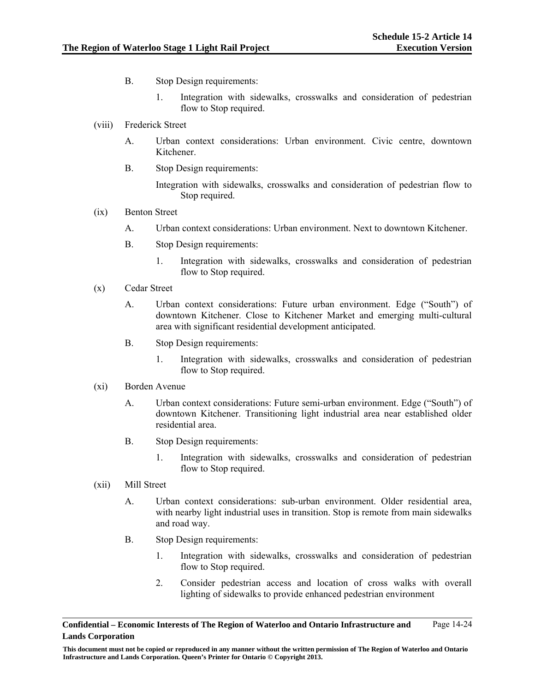- B. Stop Design requirements:
	- 1. Integration with sidewalks, crosswalks and consideration of pedestrian flow to Stop required.
- (viii) Frederick Street
	- A. Urban context considerations: Urban environment. Civic centre, downtown Kitchener.
	- B. Stop Design requirements:

Integration with sidewalks, crosswalks and consideration of pedestrian flow to Stop required.

# (ix) Benton Street

- A. Urban context considerations: Urban environment. Next to downtown Kitchener.
- B. Stop Design requirements:
	- 1. Integration with sidewalks, crosswalks and consideration of pedestrian flow to Stop required.
- (x) Cedar Street
	- A. Urban context considerations: Future urban environment. Edge ("South") of downtown Kitchener. Close to Kitchener Market and emerging multi-cultural area with significant residential development anticipated.
	- B. Stop Design requirements:
		- 1. Integration with sidewalks, crosswalks and consideration of pedestrian flow to Stop required.

### (xi) Borden Avenue

- A. Urban context considerations: Future semi-urban environment. Edge ("South") of downtown Kitchener. Transitioning light industrial area near established older residential area.
- B. Stop Design requirements:
	- 1. Integration with sidewalks, crosswalks and consideration of pedestrian flow to Stop required.
- (xii) Mill Street
	- A. Urban context considerations: sub-urban environment. Older residential area, with nearby light industrial uses in transition. Stop is remote from main sidewalks and road way.
	- B. Stop Design requirements:
		- 1. Integration with sidewalks, crosswalks and consideration of pedestrian flow to Stop required.
		- 2. Consider pedestrian access and location of cross walks with overall lighting of sidewalks to provide enhanced pedestrian environment

**Confidential – Economic Interests of The Region of Waterloo and Ontario Infrastructure and Lands Corporation**  Page 14-24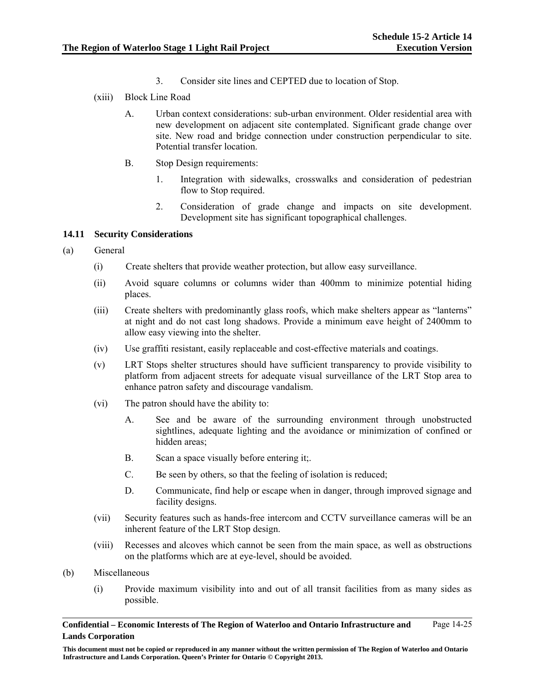- 3. Consider site lines and CEPTED due to location of Stop.
- (xiii) Block Line Road
	- A. Urban context considerations: sub-urban environment. Older residential area with new development on adjacent site contemplated. Significant grade change over site. New road and bridge connection under construction perpendicular to site. Potential transfer location.
	- B. Stop Design requirements:
		- 1. Integration with sidewalks, crosswalks and consideration of pedestrian flow to Stop required.
		- 2. Consideration of grade change and impacts on site development. Development site has significant topographical challenges.

### **14.11 Security Considerations**

- (a) General
	- (i) Create shelters that provide weather protection, but allow easy surveillance.
	- (ii) Avoid square columns or columns wider than 400mm to minimize potential hiding places.
	- (iii) Create shelters with predominantly glass roofs, which make shelters appear as "lanterns" at night and do not cast long shadows. Provide a minimum eave height of 2400mm to allow easy viewing into the shelter.
	- (iv) Use graffiti resistant, easily replaceable and cost-effective materials and coatings.
	- (v) LRT Stops shelter structures should have sufficient transparency to provide visibility to platform from adjacent streets for adequate visual surveillance of the LRT Stop area to enhance patron safety and discourage vandalism.
	- (vi) The patron should have the ability to:
		- A. See and be aware of the surrounding environment through unobstructed sightlines, adequate lighting and the avoidance or minimization of confined or hidden areas;
		- B. Scan a space visually before entering it;
		- C. Be seen by others, so that the feeling of isolation is reduced;
		- D. Communicate, find help or escape when in danger, through improved signage and facility designs.
	- (vii) Security features such as hands-free intercom and CCTV surveillance cameras will be an inherent feature of the LRT Stop design.
	- (viii) Recesses and alcoves which cannot be seen from the main space, as well as obstructions on the platforms which are at eye-level, should be avoided.
- (b) Miscellaneous
	- (i) Provide maximum visibility into and out of all transit facilities from as many sides as possible.

**This document must not be copied or reproduced in any manner without the written permission of The Region of Waterloo and Ontario Infrastructure and Lands Corporation. Queen's Printer for Ontario © Copyright 2013.**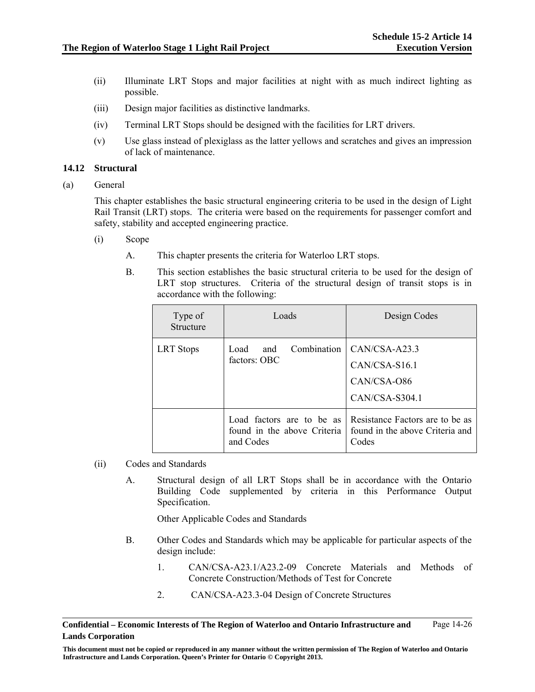- (ii) Illuminate LRT Stops and major facilities at night with as much indirect lighting as possible.
- (iii) Design major facilities as distinctive landmarks.
- (iv) Terminal LRT Stops should be designed with the facilities for LRT drivers.
- (v) Use glass instead of plexiglass as the latter yellows and scratches and gives an impression of lack of maintenance.

### **14.12 Structural**

(a) General

This chapter establishes the basic structural engineering criteria to be used in the design of Light Rail Transit (LRT) stops. The criteria were based on the requirements for passenger comfort and safety, stability and accepted engineering practice.

- (i) Scope
	- A. This chapter presents the criteria for Waterloo LRT stops.
	- B. This section establishes the basic structural criteria to be used for the design of LRT stop structures. Criteria of the structural design of transit stops is in accordance with the following:

| Type of<br>Structure | Loads                                                                 | Design Codes                                                                    |  |  |  |  |  |  |  |  |
|----------------------|-----------------------------------------------------------------------|---------------------------------------------------------------------------------|--|--|--|--|--|--|--|--|
| <b>LRT</b> Stops     | Load.<br>and<br>factors: OBC                                          | Combination   CAN/CSA-A23.3<br>$CAN/CSA-S16.1$<br>CAN/CSA-O86<br>CAN/CSA-S304.1 |  |  |  |  |  |  |  |  |
|                      | Load factors are to be as<br>found in the above Criteria<br>and Codes | Resistance Factors are to be as<br>found in the above Criteria and<br>Codes     |  |  |  |  |  |  |  |  |

- (ii) Codes and Standards
	- A. Structural design of all LRT Stops shall be in accordance with the Ontario Building Code supplemented by criteria in this Performance Output Specification.

Other Applicable Codes and Standards

- B. Other Codes and Standards which may be applicable for particular aspects of the design include:
	- 1. CAN/CSA-A23.1/A23.2-09 Concrete Materials and Methods of Concrete Construction/Methods of Test for Concrete
	- 2. CAN/CSA-A23.3-04 Design of Concrete Structures

**Confidential – Economic Interests of The Region of Waterloo and Ontario Infrastructure and Lands Corporation**  Page 14-26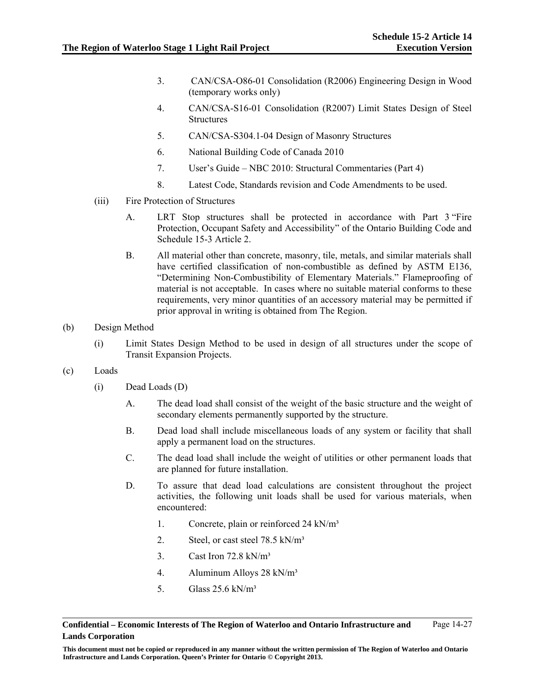- 3. CAN/CSA-O86-01 Consolidation (R2006) Engineering Design in Wood (temporary works only)
- 4. CAN/CSA-S16-01 Consolidation (R2007) Limit States Design of Steel **Structures**
- 5. CAN/CSA-S304.1-04 Design of Masonry Structures
- 6. National Building Code of Canada 2010
- 7. User's Guide NBC 2010: Structural Commentaries (Part 4)
- 8. Latest Code, Standards revision and Code Amendments to be used.
- (iii) Fire Protection of Structures
	- A. LRT Stop structures shall be protected in accordance with Part 3 "Fire Protection, Occupant Safety and Accessibility" of the Ontario Building Code and Schedule 15-3 Article 2.
	- B. All material other than concrete, masonry, tile, metals, and similar materials shall have certified classification of non-combustible as defined by ASTM E136, "Determining Non-Combustibility of Elementary Materials." Flameproofing of material is not acceptable. In cases where no suitable material conforms to these requirements, very minor quantities of an accessory material may be permitted if prior approval in writing is obtained from The Region.
- (b) Design Method
	- (i) Limit States Design Method to be used in design of all structures under the scope of Transit Expansion Projects.
- (c) Loads
	- (i) Dead Loads (D)
		- A. The dead load shall consist of the weight of the basic structure and the weight of secondary elements permanently supported by the structure.
		- B. Dead load shall include miscellaneous loads of any system or facility that shall apply a permanent load on the structures.
		- C. The dead load shall include the weight of utilities or other permanent loads that are planned for future installation.
		- D. To assure that dead load calculations are consistent throughout the project activities, the following unit loads shall be used for various materials, when encountered:
			- 1. Concrete, plain or reinforced 24 kN/m<sup>3</sup>
			- 2. Steel, or cast steel 78.5 kN/m<sup>3</sup>
			- 3. Cast Iron  $72.8 \text{ kN/m}^3$
			- 4. Aluminum Alloys 28 kN/m³
			- 5. Glass 25.6 kN/m³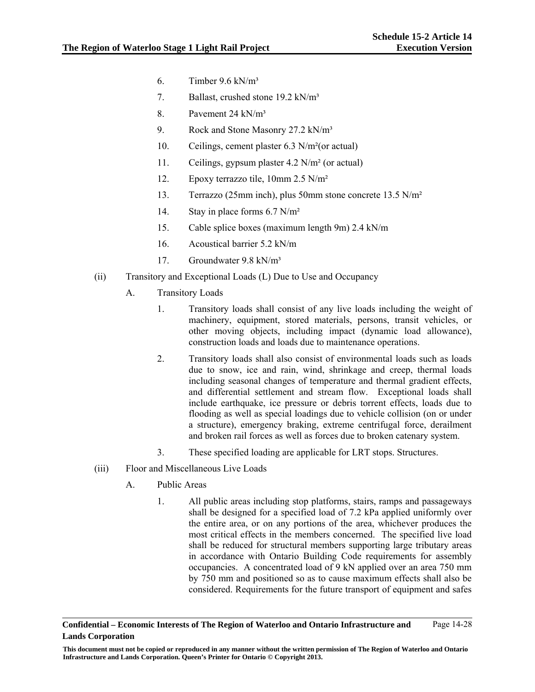- 6. Timber  $9.6 \text{ kN/m}^3$
- 7. Ballast, crushed stone 19.2 kN/m<sup>3</sup>
- 8. Pavement 24 kN/m³
- 9. Rock and Stone Masonry 27.2 kN/m<sup>3</sup>
- 10. Ceilings, cement plaster 6.3 N/m²(or actual)
- 11. Ceilings, gypsum plaster 4.2 N/m² (or actual)
- 12. Epoxy terrazzo tile, 10mm 2.5 N/m²
- 13. Terrazzo (25mm inch), plus 50mm stone concrete 13.5 N/m²
- 14. Stay in place forms 6.7 N/m²
- 15. Cable splice boxes (maximum length 9m) 2.4 kN/m
- 16. Acoustical barrier 5.2 kN/m
- 17. Groundwater 9.8 kN/m³
- (ii) Transitory and Exceptional Loads (L) Due to Use and Occupancy
	- A. Transitory Loads
		- 1. Transitory loads shall consist of any live loads including the weight of machinery, equipment, stored materials, persons, transit vehicles, or other moving objects, including impact (dynamic load allowance), construction loads and loads due to maintenance operations.
		- 2. Transitory loads shall also consist of environmental loads such as loads due to snow, ice and rain, wind, shrinkage and creep, thermal loads including seasonal changes of temperature and thermal gradient effects, and differential settlement and stream flow. Exceptional loads shall include earthquake, ice pressure or debris torrent effects, loads due to flooding as well as special loadings due to vehicle collision (on or under a structure), emergency braking, extreme centrifugal force, derailment and broken rail forces as well as forces due to broken catenary system.
		- 3. These specified loading are applicable for LRT stops. Structures.
- (iii) Floor and Miscellaneous Live Loads
	- A. Public Areas
		- 1. All public areas including stop platforms, stairs, ramps and passageways shall be designed for a specified load of 7.2 kPa applied uniformly over the entire area, or on any portions of the area, whichever produces the most critical effects in the members concerned. The specified live load shall be reduced for structural members supporting large tributary areas in accordance with Ontario Building Code requirements for assembly occupancies. A concentrated load of 9 kN applied over an area 750 mm by 750 mm and positioned so as to cause maximum effects shall also be considered. Requirements for the future transport of equipment and safes

**Confidential – Economic Interests of The Region of Waterloo and Ontario Infrastructure and Lands Corporation**  Page 14-28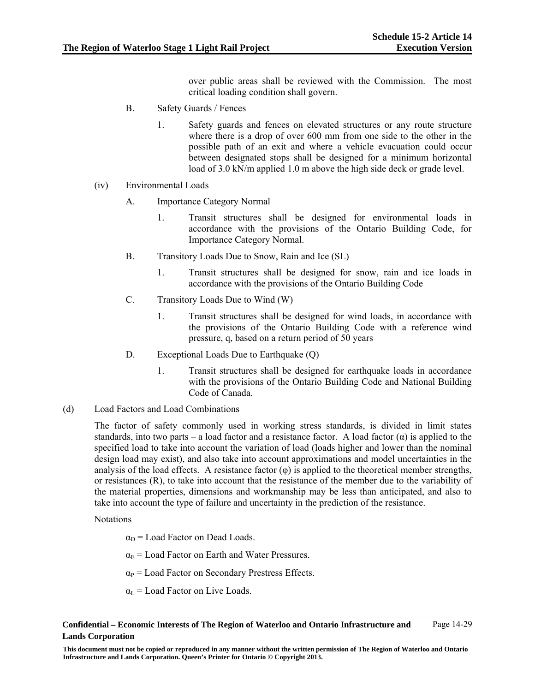over public areas shall be reviewed with the Commission. The most critical loading condition shall govern.

- B. Safety Guards / Fences
	- 1. Safety guards and fences on elevated structures or any route structure where there is a drop of over 600 mm from one side to the other in the possible path of an exit and where a vehicle evacuation could occur between designated stops shall be designed for a minimum horizontal load of 3.0 kN/m applied 1.0 m above the high side deck or grade level.
- (iv) Environmental Loads
	- A. Importance Category Normal
		- 1. Transit structures shall be designed for environmental loads in accordance with the provisions of the Ontario Building Code, for Importance Category Normal.
	- B. Transitory Loads Due to Snow, Rain and Ice (SL)
		- 1. Transit structures shall be designed for snow, rain and ice loads in accordance with the provisions of the Ontario Building Code
	- C. Transitory Loads Due to Wind (W)
		- 1. Transit structures shall be designed for wind loads, in accordance with the provisions of the Ontario Building Code with a reference wind pressure, q, based on a return period of 50 years
	- D. Exceptional Loads Due to Earthquake (Q)
		- 1. Transit structures shall be designed for earthquake loads in accordance with the provisions of the Ontario Building Code and National Building Code of Canada.
- (d) Load Factors and Load Combinations

The factor of safety commonly used in working stress standards, is divided in limit states standards, into two parts – a load factor and a resistance factor. A load factor  $(\alpha)$  is applied to the specified load to take into account the variation of load (loads higher and lower than the nominal design load may exist), and also take into account approximations and model uncertainties in the analysis of the load effects. A resistance factor  $(\varphi)$  is applied to the theoretical member strengths, or resistances (R), to take into account that the resistance of the member due to the variability of the material properties, dimensions and workmanship may be less than anticipated, and also to take into account the type of failure and uncertainty in the prediction of the resistance.

**Notations** 

- $\alpha_D$  = Load Factor on Dead Loads.
- $\alpha_{\rm E}$  = Load Factor on Earth and Water Pressures.
- $\alpha_P$  = Load Factor on Secondary Prestress Effects.
- $\alpha_L$  = Load Factor on Live Loads.

**This document must not be copied or reproduced in any manner without the written permission of The Region of Waterloo and Ontario Infrastructure and Lands Corporation. Queen's Printer for Ontario © Copyright 2013.**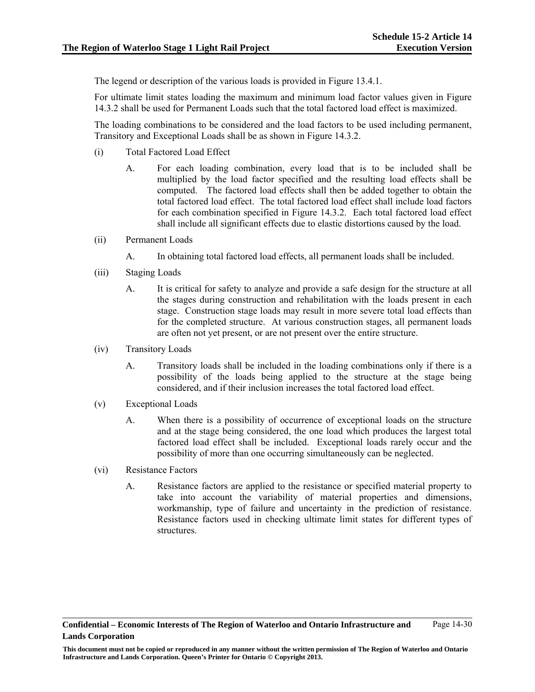The legend or description of the various loads is provided in Figure 13.4.1.

For ultimate limit states loading the maximum and minimum load factor values given in Figure 14.3.2 shall be used for Permanent Loads such that the total factored load effect is maximized.

The loading combinations to be considered and the load factors to be used including permanent, Transitory and Exceptional Loads shall be as shown in Figure 14.3.2.

- (i) Total Factored Load Effect
	- A. For each loading combination, every load that is to be included shall be multiplied by the load factor specified and the resulting load effects shall be computed. The factored load effects shall then be added together to obtain the total factored load effect. The total factored load effect shall include load factors for each combination specified in Figure 14.3.2. Each total factored load effect shall include all significant effects due to elastic distortions caused by the load.
- (ii) Permanent Loads
	- A. In obtaining total factored load effects, all permanent loads shall be included.
- (iii) Staging Loads
	- A. It is critical for safety to analyze and provide a safe design for the structure at all the stages during construction and rehabilitation with the loads present in each stage. Construction stage loads may result in more severe total load effects than for the completed structure. At various construction stages, all permanent loads are often not yet present, or are not present over the entire structure.
- (iv) Transitory Loads
	- A. Transitory loads shall be included in the loading combinations only if there is a possibility of the loads being applied to the structure at the stage being considered, and if their inclusion increases the total factored load effect.
- (v) Exceptional Loads
	- A. When there is a possibility of occurrence of exceptional loads on the structure and at the stage being considered, the one load which produces the largest total factored load effect shall be included. Exceptional loads rarely occur and the possibility of more than one occurring simultaneously can be neglected.
- (vi) Resistance Factors
	- A. Resistance factors are applied to the resistance or specified material property to take into account the variability of material properties and dimensions, workmanship, type of failure and uncertainty in the prediction of resistance. Resistance factors used in checking ultimate limit states for different types of structures.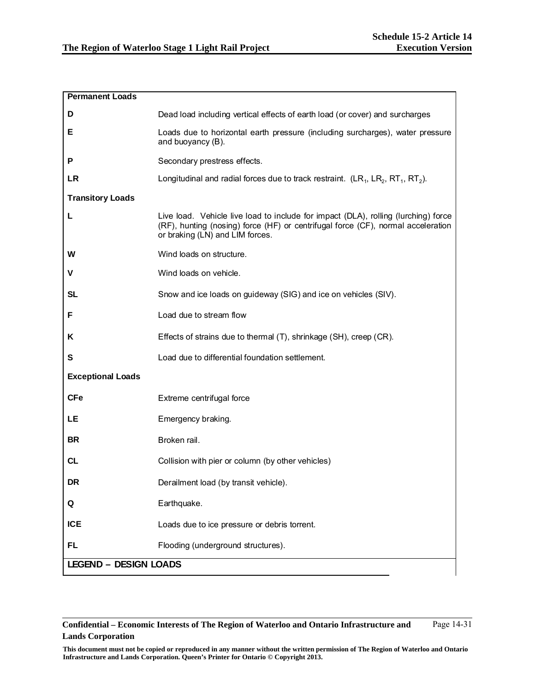| <b>Permanent Loads</b>       |                                                                                                                                                                                                           |
|------------------------------|-----------------------------------------------------------------------------------------------------------------------------------------------------------------------------------------------------------|
| D                            | Dead load including vertical effects of earth load (or cover) and surcharges                                                                                                                              |
| Е                            | Loads due to horizontal earth pressure (including surcharges), water pressure<br>and buoyancy (B).                                                                                                        |
| P                            | Secondary prestress effects.                                                                                                                                                                              |
| <b>LR</b>                    | Longitudinal and radial forces due to track restraint. $(LR_1, LR_2, RT_1, RT_2)$ .                                                                                                                       |
| <b>Transitory Loads</b>      |                                                                                                                                                                                                           |
| L                            | Live load. Vehicle live load to include for impact (DLA), rolling (lurching) force<br>(RF), hunting (nosing) force (HF) or centrifugal force (CF), normal acceleration<br>or braking (LN) and LIM forces. |
| W                            | Wind loads on structure.                                                                                                                                                                                  |
| V                            | Wind loads on vehicle.                                                                                                                                                                                    |
| <b>SL</b>                    | Snow and ice loads on guideway (SIG) and ice on vehicles (SIV).                                                                                                                                           |
| F                            | Load due to stream flow                                                                                                                                                                                   |
| Κ                            | Effects of strains due to thermal (T), shrinkage (SH), creep (CR).                                                                                                                                        |
| S                            | Load due to differential foundation settlement.                                                                                                                                                           |
| <b>Exceptional Loads</b>     |                                                                                                                                                                                                           |
| <b>CFe</b>                   | Extreme centrifugal force                                                                                                                                                                                 |
| LE                           | Emergency braking.                                                                                                                                                                                        |
| <b>BR</b>                    | Broken rail.                                                                                                                                                                                              |
| <b>CL</b>                    | Collision with pier or column (by other vehicles)                                                                                                                                                         |
| <b>DR</b>                    | Derailment load (by transit vehicle).                                                                                                                                                                     |
| Q                            | Earthquake.                                                                                                                                                                                               |
| <b>ICE</b>                   | Loads due to ice pressure or debris torrent.                                                                                                                                                              |
| FL                           | Flooding (underground structures).                                                                                                                                                                        |
| <b>LEGEND - DESIGN LOADS</b> |                                                                                                                                                                                                           |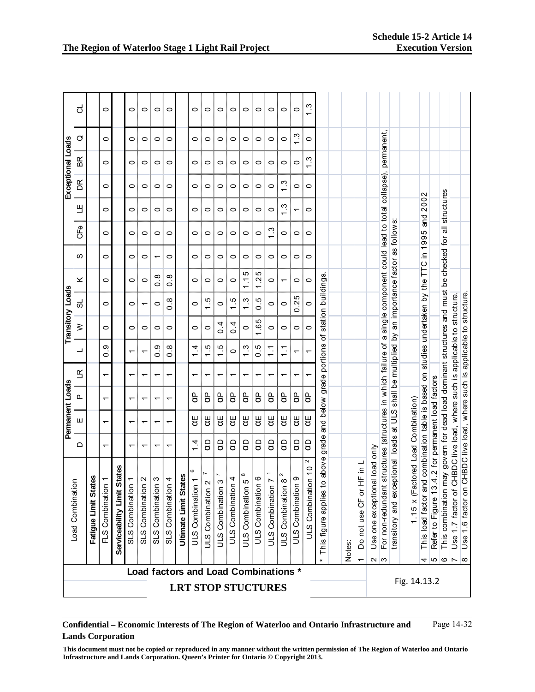|                         | ಠ                                |                                | 0                                    |                                       | 0                                                                                   | 0                                                    | 0                                 | 0                                 |                              | 0                                      | 0                                         | 0                        | 0                                     | 0                         | 0                           | 0                                 | 0                                               | $\circ$                                            | <u>က</u>                                |                                      |                                                                                                                                                                                                                                 |                                 |                                              |                                                                  |                                                                                                               |                                    |                                                    |                                                       |                                                                                          |                                                                                |                                                                                                   |
|-------------------------|----------------------------------|--------------------------------|--------------------------------------|---------------------------------------|-------------------------------------------------------------------------------------|------------------------------------------------------|-----------------------------------|-----------------------------------|------------------------------|----------------------------------------|-------------------------------------------|--------------------------|---------------------------------------|---------------------------|-----------------------------|-----------------------------------|-------------------------------------------------|----------------------------------------------------|-----------------------------------------|--------------------------------------|---------------------------------------------------------------------------------------------------------------------------------------------------------------------------------------------------------------------------------|---------------------------------|----------------------------------------------|------------------------------------------------------------------|---------------------------------------------------------------------------------------------------------------|------------------------------------|----------------------------------------------------|-------------------------------------------------------|------------------------------------------------------------------------------------------|--------------------------------------------------------------------------------|---------------------------------------------------------------------------------------------------|
|                         | ♂                                |                                | 0                                    |                                       | $\circ$                                                                             | 0                                                    | $\circ$                           | $\circ$                           |                              | 0                                      | 0                                         | $\circ$                  | 0                                     | $\circ$                   | 0                           | 0                                 | 0                                               | Ċ.                                                 | 0                                       |                                      |                                                                                                                                                                                                                                 |                                 |                                              |                                                                  |                                                                                                               |                                    |                                                    |                                                       |                                                                                          |                                                                                |                                                                                                   |
| Exceptional Loads       | ВŔ                               |                                | 0                                    |                                       | 0                                                                                   | $\circ$                                              | $\circ$                           | $\circ$                           |                              | 0                                      | $\circ$                                   | $\circ$                  | $\circ$                               | $\circ$                   | 0                           | $\circ$                           | $\circ$                                         | $\circ$                                            | ن<br>ب<br>$\overline{ }$                |                                      |                                                                                                                                                                                                                                 |                                 |                                              | collapse), permanent,                                            |                                                                                                               |                                    |                                                    |                                                       |                                                                                          |                                                                                |                                                                                                   |
|                         | $\mathbb{R}$                     |                                | 0                                    |                                       | $\circ$                                                                             | $\circ$                                              | $\circ$                           | $\circ$                           |                              | 0                                      | $\circ$                                   | $\circ$                  | $\circ$                               | $\circ$                   | $\circ$                     | $\circ$                           | <u>ო</u>                                        | $\circ$                                            | 0                                       |                                      |                                                                                                                                                                                                                                 |                                 |                                              |                                                                  |                                                                                                               |                                    |                                                    |                                                       |                                                                                          |                                                                                |                                                                                                   |
|                         | Щ                                |                                | 0                                    |                                       | 0                                                                                   | 0                                                    | $\circ$                           | $\circ$                           |                              | 0                                      | $\circ$                                   | $\circ$                  | 0                                     | $\circ$                   | 0                           | $\circ$                           | ن.<br>أ                                         | $\overline{\phantom{0}}$                           | 0                                       |                                      |                                                                                                                                                                                                                                 |                                 |                                              |                                                                  |                                                                                                               |                                    | 2002<br>and :                                      |                                                       | structures                                                                               |                                                                                |                                                                                                   |
|                         | e<br>CFe                         |                                | 0                                    |                                       | $\circ$                                                                             | 0                                                    | $\circ$                           | $\circ$                           |                              | 0                                      | 0                                         | $\circ$                  | 0                                     | $\circ$                   | 0                           | ب<br>1                            | 0                                               | 0                                                  | 0                                       |                                      |                                                                                                                                                                                                                                 |                                 |                                              | a single component could lead to total                           |                                                                                                               |                                    |                                                    |                                                       | $\overline{\overline{6}}$                                                                |                                                                                |                                                                                                   |
|                         | ഗ                                |                                | 0                                    |                                       | 0                                                                                   | $\circ$                                              | $\overline{\phantom{0}}$          | $\circ$                           |                              | 0                                      | $\circ$                                   | $\circ$                  | 0                                     | $\circ$                   | 0                           | $\circ$                           | $\circ$                                         | $\circ$                                            | 0                                       |                                      |                                                                                                                                                                                                                                 |                                 |                                              |                                                                  |                                                                                                               |                                    | studies undertaken by the TTC in 1995              |                                                       |                                                                                          |                                                                                |                                                                                                   |
|                         | ×                                |                                | 0                                    |                                       | $\circ$                                                                             | 0                                                    | $\infty$<br>$\circ$               | $\infty$<br>$\circ$               |                              | 0                                      | $\circ$                                   | $\circ$                  | 0                                     | Ю<br>↽.                   | 5<br>Ņ                      | 0                                 | $\overline{\phantom{0}}$                        | $\circ$                                            | 0                                       |                                      |                                                                                                                                                                                                                                 |                                 |                                              |                                                                  |                                                                                                               |                                    |                                                    |                                                       |                                                                                          |                                                                                |                                                                                                   |
| <b>Transitory Loads</b> | ಪ                                |                                | 0                                    |                                       | 0                                                                                   | ᠇                                                    | $\circ$                           | œ.<br>$\circ$                     |                              | 0                                      | τÙ.                                       | 0                        | 1.5                                   | ن<br>و<br>$\overline{ }$  | $0.\overline{5}$            | 0                                 | $\circ$                                         | ю<br>Ņ<br>Ö                                        | $\circ$                                 | station buildings.                   |                                                                                                                                                                                                                                 |                                 |                                              |                                                                  |                                                                                                               |                                    |                                                    |                                                       |                                                                                          |                                                                                |                                                                                                   |
|                         | ≥                                |                                | 0                                    |                                       | $\circ$                                                                             | 0                                                    | $\circ$                           | $\circ$                           |                              | 0                                      | 0                                         | $\overline{0}$ .         | $\overline{0}$ .                      | $\circ$                   | Ю<br>ِ                      | 0                                 | 0                                               | $\circ$                                            | 0                                       | đ                                    |                                                                                                                                                                                                                                 |                                 |                                              |                                                                  |                                                                                                               |                                    |                                                    |                                                       |                                                                                          |                                                                                |                                                                                                   |
|                         | ┙                                |                                | တ<br>$\circ$                         |                                       | ᠇                                                                                   | ᠇                                                    | တ<br>$\circ$                      | ∞<br>$\circ$                      |                              | 4.<br>$\overline{ }$                   | c.<br>$\overline{ }$                      | $\frac{5}{1}$            | 0                                     | က<br>$\overline{ }$       | ယ္<br>ö                     | $\frac{1}{1}$                     | $\overline{ }$                                  | $\overline{\phantom{0}}$                           | ٣                                       |                                      |                                                                                                                                                                                                                                 |                                 |                                              |                                                                  |                                                                                                               |                                    |                                                    |                                                       |                                                                                          |                                                                                |                                                                                                   |
|                         | $\mathfrak{\underline{\alpha}}$  |                                | $\overline{\phantom{0}}$             |                                       | $\overline{\phantom{0}}$                                                            | ᠇                                                    | ᠇                                 | ٣                                 |                              | ᡪ                                      | ᠇                                         | ᠇                        | ᠇                                     | ٣                         | ᠇                           | ᠇                                 | ᠇                                               | ᠇                                                  |                                         |                                      |                                                                                                                                                                                                                                 |                                 |                                              |                                                                  |                                                                                                               |                                    |                                                    |                                                       |                                                                                          |                                                                                |                                                                                                   |
|                         | ൨                                |                                | ᡪ                                    |                                       | ٢                                                                                   | ᠇                                                    | ᠇                                 | ٣                                 |                              | ႕                                      | ႕                                         | ႕                        | ႕                                     | g                         | ႕                           | ႕                                 | gP                                              | g                                                  | g                                       | and below grade portions             |                                                                                                                                                                                                                                 |                                 |                                              |                                                                  |                                                                                                               |                                    |                                                    |                                                       |                                                                                          |                                                                                |                                                                                                   |
| Permanent Loads         | Ш                                |                                | ᠇                                    |                                       | ٢                                                                                   | ᡪ                                                    | ᠇                                 | ᡪ                                 |                              | ₩                                      | Ψ                                         | ďΕ                       | ₩                                     | Ψ                         | Ψ                           | ₩                                 | Ψ                                               | Ψ                                                  | UË                                      |                                      |                                                                                                                                                                                                                                 |                                 |                                              |                                                                  |                                                                                                               |                                    |                                                    |                                                       |                                                                                          |                                                                                |                                                                                                   |
|                         | ≏                                |                                | ᠇                                    |                                       | ᠇                                                                                   | ᠇                                                    | ᠇                                 | ᡪ                                 |                              | $1\frac{4}{1}$                         | g                                         | g                        | ဠ                                     | ဠ                         | ဠ                           | ဠ                                 | ဠ                                               | ဠ                                                  | g                                       |                                      |                                                                                                                                                                                                                                 |                                 |                                              |                                                                  |                                                                                                               |                                    |                                                    |                                                       |                                                                                          |                                                                                |                                                                                                   |
|                         | $\overline{5}$<br>Load Combinati | <b>States</b><br>Fatigue Limit | $\overline{a}$<br>Combination<br>FLS | <b>States</b><br>Serviceability Limit | $\overline{a}$<br>Combination<br>S <sub>1</sub> S                                   | $\mathbf{\Omega}$<br>$\subset$<br>Combination<br>SLS | ო<br>$\subset$<br>SLS Combination | $\overline{1}$<br>SLS Combination | <b>Ultimate Limit States</b> | ဖ<br>$\overline{1}$<br>ULS Combination | N<br>$\mathbf{\Omega}$<br>ULS Combination | ო<br>Combination<br>S-IN | 4<br>$\overline{a}$<br>ULS Combinatio | ∞<br>5<br>ULS Combination | o<br>n<br>Combinatio<br>STN | $\overline{ }$<br>ULS Combination | 2<br>${}^{\infty}$<br>Combination<br><b>STN</b> | თ<br>$\overline{\phantom{a}}$<br>Combinatio<br>STN | 2<br>ion <sub>10</sub><br>ULS Combinati | o above grade<br>This figure applies | Notes:                                                                                                                                                                                                                          | HF in L<br>ŏ<br>5<br>Do not use | vino baol lar<br>one exception<br><b>Jse</b> | t structures (structures in which failure of<br>For non-redundan | exceptional loads at ULS shall be multiplied by an importance factor as follows:<br>$rac{1}{2}$<br>transitory | 1.15 x (Factored Load Combination) | This load factor and combination table is based on | .4.2 for permanent load factors<br>Refer to Figure 13 | may govern for dead load dominant structures and must be checked for<br>This combination | CHBDC live load, where such is applicable to structure.<br>.7 factor of<br>9se | CHBDC live load, where such is applicable to structure<br>factor on<br>ڢ<br>$\overline{ }$<br>Jse |
|                         |                                  |                                |                                      |                                       |                                                                                     | Load factors and Load Combinations *                 |                                   |                                   |                              |                                        |                                           |                          |                                       |                           |                             |                                   |                                                 |                                                    |                                         |                                      |                                                                                                                                                                                                                                 |                                 |                                              | $\sim$  ന                                                        |                                                                                                               | Fig. 14.13.2                       | 4                                                  |                                                       | $\sim$ 0 $\sim$                                                                          |                                                                                | $\infty$                                                                                          |
|                         |                                  |                                |                                      |                                       |                                                                                     |                                                      |                                   |                                   | <b>LRT STOP STUCTURES</b>    |                                        |                                           |                          |                                       |                           |                             |                                   |                                                 |                                                    |                                         |                                      |                                                                                                                                                                                                                                 |                                 |                                              |                                                                  |                                                                                                               |                                    |                                                    |                                                       |                                                                                          |                                                                                |                                                                                                   |
|                         | <b>Lands Corporation</b>         |                                |                                      |                                       | Infrastructure and Lands Corporation. Queen's Printer for Ontario © Copyright 2013. |                                                      |                                   |                                   |                              |                                        |                                           |                          |                                       |                           |                             |                                   |                                                 |                                                    |                                         |                                      | Confidential – Economic Interests of The Region of Waterloo and Ontario Infrastructure and<br>This document must not be copied or reproduced in any manner without the written permission of The Region of Waterloo and Ontario |                                 |                                              |                                                                  |                                                                                                               |                                    |                                                    |                                                       |                                                                                          | Page 14-32                                                                     |                                                                                                   |

**This document must not be copied or reproduced in any manner without the written permission of The Region of Waterloo and Ontario**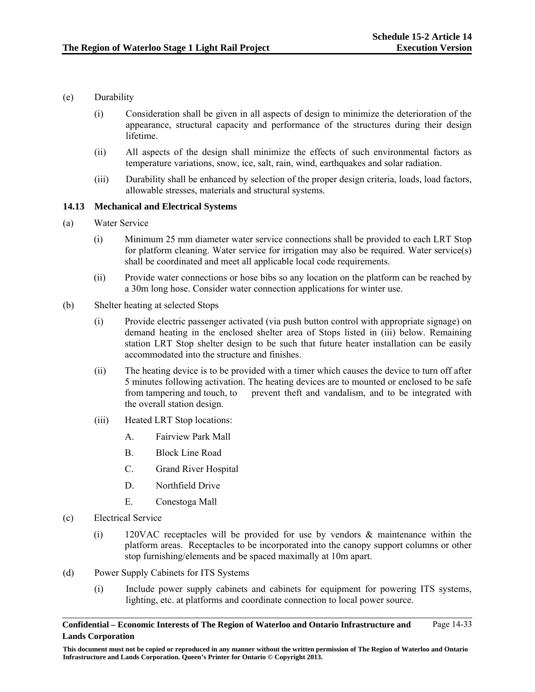- (e) Durability
	- (i) Consideration shall be given in all aspects of design to minimize the deterioration of the appearance, structural capacity and performance of the structures during their design lifetime.
	- (ii) All aspects of the design shall minimize the effects of such environmental factors as temperature variations, snow, ice, salt, rain, wind, earthquakes and solar radiation.
	- (iii) Durability shall be enhanced by selection of the proper design criteria, loads, load factors, allowable stresses, materials and structural systems.

### **14.13 Mechanical and Electrical Systems**

- (a) Water Service
	- (i) Minimum 25 mm diameter water service connections shall be provided to each LRT Stop for platform cleaning. Water service for irrigation may also be required. Water service(s) shall be coordinated and meet all applicable local code requirements.
	- (ii) Provide water connections or hose bibs so any location on the platform can be reached by a 30m long hose. Consider water connection applications for winter use.
- (b) Shelter heating at selected Stops
	- (i) Provide electric passenger activated (via push button control with appropriate signage) on demand heating in the enclosed shelter area of Stops listed in (iii) below. Remaining station LRT Stop shelter design to be such that future heater installation can be easily accommodated into the structure and finishes.
	- (ii) The heating device is to be provided with a timer which causes the device to turn off after 5 minutes following activation. The heating devices are to mounted or enclosed to be safe from tampering and touch, to prevent theft and vandalism, and to be integrated with the overall station design.
	- (iii) Heated LRT Stop locations:
		- A. Fairview Park Mall
		- B. Block Line Road
		- C. Grand River Hospital
		- D. Northfield Drive
		- E. Conestoga Mall
- (c) Electrical Service
	- (i) 120VAC receptacles will be provided for use by vendors & maintenance within the platform areas. Receptacles to be incorporated into the canopy support columns or other stop furnishing/elements and be spaced maximally at 10m apart.
- (d) Power Supply Cabinets for ITS Systems
	- (i) Include power supply cabinets and cabinets for equipment for powering ITS systems, lighting, etc. at platforms and coordinate connection to local power source.

**This document must not be copied or reproduced in any manner without the written permission of The Region of Waterloo and Ontario Infrastructure and Lands Corporation. Queen's Printer for Ontario © Copyright 2013.**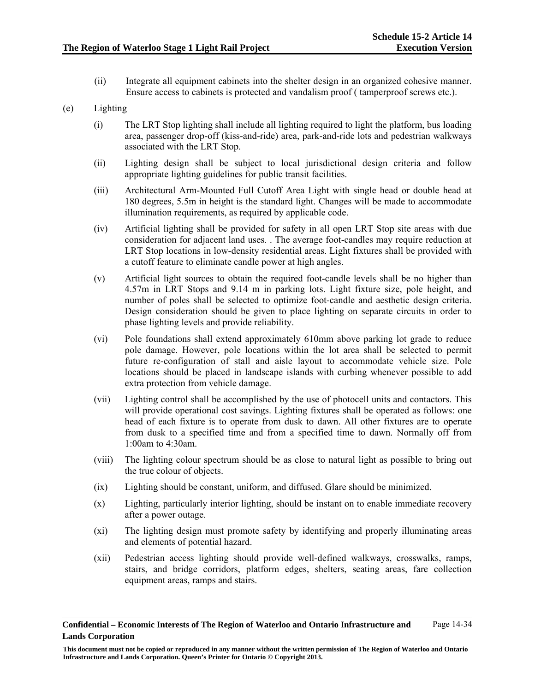(ii) Integrate all equipment cabinets into the shelter design in an organized cohesive manner. Ensure access to cabinets is protected and vandalism proof ( tamperproof screws etc.).

# (e) Lighting

- (i) The LRT Stop lighting shall include all lighting required to light the platform, bus loading area, passenger drop-off (kiss-and-ride) area, park-and-ride lots and pedestrian walkways associated with the LRT Stop.
- (ii) Lighting design shall be subject to local jurisdictional design criteria and follow appropriate lighting guidelines for public transit facilities.
- (iii) Architectural Arm-Mounted Full Cutoff Area Light with single head or double head at 180 degrees, 5.5m in height is the standard light. Changes will be made to accommodate illumination requirements, as required by applicable code.
- (iv) Artificial lighting shall be provided for safety in all open LRT Stop site areas with due consideration for adjacent land uses. . The average foot-candles may require reduction at LRT Stop locations in low-density residential areas. Light fixtures shall be provided with a cutoff feature to eliminate candle power at high angles.
- (v) Artificial light sources to obtain the required foot-candle levels shall be no higher than 4.57m in LRT Stops and 9.14 m in parking lots. Light fixture size, pole height, and number of poles shall be selected to optimize foot-candle and aesthetic design criteria. Design consideration should be given to place lighting on separate circuits in order to phase lighting levels and provide reliability.
- (vi) Pole foundations shall extend approximately 610mm above parking lot grade to reduce pole damage. However, pole locations within the lot area shall be selected to permit future re-configuration of stall and aisle layout to accommodate vehicle size. Pole locations should be placed in landscape islands with curbing whenever possible to add extra protection from vehicle damage.
- (vii) Lighting control shall be accomplished by the use of photocell units and contactors. This will provide operational cost savings. Lighting fixtures shall be operated as follows: one head of each fixture is to operate from dusk to dawn. All other fixtures are to operate from dusk to a specified time and from a specified time to dawn. Normally off from 1:00am to 4:30am.
- (viii) The lighting colour spectrum should be as close to natural light as possible to bring out the true colour of objects.
- (ix) Lighting should be constant, uniform, and diffused. Glare should be minimized.
- (x) Lighting, particularly interior lighting, should be instant on to enable immediate recovery after a power outage.
- (xi) The lighting design must promote safety by identifying and properly illuminating areas and elements of potential hazard.
- (xii) Pedestrian access lighting should provide well-defined walkways, crosswalks, ramps, stairs, and bridge corridors, platform edges, shelters, seating areas, fare collection equipment areas, ramps and stairs.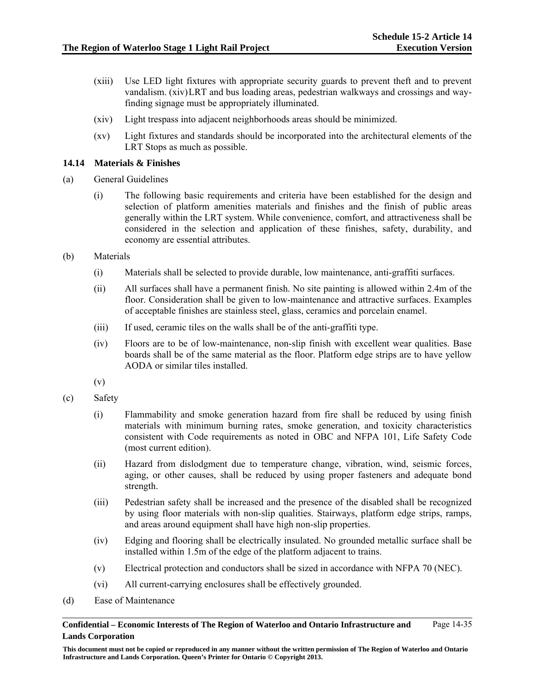- (xiii) Use LED light fixtures with appropriate security guards to prevent theft and to prevent vandalism. (xiv) LRT and bus loading areas, pedestrian walkways and crossings and wayfinding signage must be appropriately illuminated.
- (xiv) Light trespass into adjacent neighborhoods areas should be minimized.
- (xv) Light fixtures and standards should be incorporated into the architectural elements of the LRT Stops as much as possible.

# **14.14 Materials & Finishes**

- (a) General Guidelines
	- (i) The following basic requirements and criteria have been established for the design and selection of platform amenities materials and finishes and the finish of public areas generally within the LRT system. While convenience, comfort, and attractiveness shall be considered in the selection and application of these finishes, safety, durability, and economy are essential attributes.
- (b) Materials
	- (i) Materials shall be selected to provide durable, low maintenance, anti-graffiti surfaces.
	- (ii) All surfaces shall have a permanent finish. No site painting is allowed within 2.4m of the floor. Consideration shall be given to low-maintenance and attractive surfaces. Examples of acceptable finishes are stainless steel, glass, ceramics and porcelain enamel.
	- (iii) If used, ceramic tiles on the walls shall be of the anti-graffiti type.
	- (iv) Floors are to be of low-maintenance, non-slip finish with excellent wear qualities. Base boards shall be of the same material as the floor. Platform edge strips are to have yellow AODA or similar tiles installed.
	- (v)
- (c) Safety
	- (i) Flammability and smoke generation hazard from fire shall be reduced by using finish materials with minimum burning rates, smoke generation, and toxicity characteristics consistent with Code requirements as noted in OBC and NFPA 101, Life Safety Code (most current edition).
	- (ii) Hazard from dislodgment due to temperature change, vibration, wind, seismic forces, aging, or other causes, shall be reduced by using proper fasteners and adequate bond strength.
	- (iii) Pedestrian safety shall be increased and the presence of the disabled shall be recognized by using floor materials with non-slip qualities. Stairways, platform edge strips, ramps, and areas around equipment shall have high non-slip properties.
	- (iv) Edging and flooring shall be electrically insulated. No grounded metallic surface shall be installed within 1.5m of the edge of the platform adjacent to trains.
	- (v) Electrical protection and conductors shall be sized in accordance with NFPA 70 (NEC).
	- (vi) All current-carrying enclosures shall be effectively grounded.
- (d) Ease of Maintenance

**Confidential – Economic Interests of The Region of Waterloo and Ontario Infrastructure and Lands Corporation**  Page 14-35

**This document must not be copied or reproduced in any manner without the written permission of The Region of Waterloo and Ontario Infrastructure and Lands Corporation. Queen's Printer for Ontario © Copyright 2013.**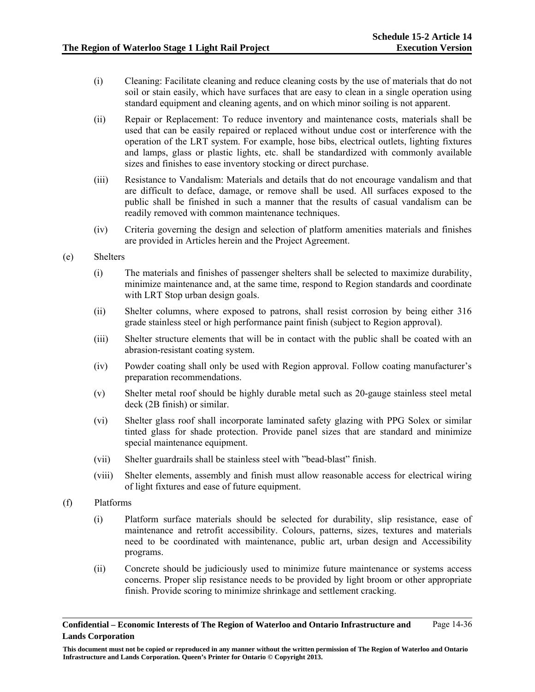- (i) Cleaning: Facilitate cleaning and reduce cleaning costs by the use of materials that do not soil or stain easily, which have surfaces that are easy to clean in a single operation using standard equipment and cleaning agents, and on which minor soiling is not apparent.
- (ii) Repair or Replacement: To reduce inventory and maintenance costs, materials shall be used that can be easily repaired or replaced without undue cost or interference with the operation of the LRT system. For example, hose bibs, electrical outlets, lighting fixtures and lamps, glass or plastic lights, etc. shall be standardized with commonly available sizes and finishes to ease inventory stocking or direct purchase.
- (iii) Resistance to Vandalism: Materials and details that do not encourage vandalism and that are difficult to deface, damage, or remove shall be used. All surfaces exposed to the public shall be finished in such a manner that the results of casual vandalism can be readily removed with common maintenance techniques.
- (iv) Criteria governing the design and selection of platform amenities materials and finishes are provided in Articles herein and the Project Agreement.
- (e) Shelters
	- (i) The materials and finishes of passenger shelters shall be selected to maximize durability, minimize maintenance and, at the same time, respond to Region standards and coordinate with LRT Stop urban design goals.
	- (ii) Shelter columns, where exposed to patrons, shall resist corrosion by being either 316 grade stainless steel or high performance paint finish (subject to Region approval).
	- (iii) Shelter structure elements that will be in contact with the public shall be coated with an abrasion-resistant coating system.
	- (iv) Powder coating shall only be used with Region approval. Follow coating manufacturer's preparation recommendations.
	- (v) Shelter metal roof should be highly durable metal such as 20-gauge stainless steel metal deck (2B finish) or similar.
	- (vi) Shelter glass roof shall incorporate laminated safety glazing with PPG Solex or similar tinted glass for shade protection. Provide panel sizes that are standard and minimize special maintenance equipment.
	- (vii) Shelter guardrails shall be stainless steel with "bead-blast" finish.
	- (viii) Shelter elements, assembly and finish must allow reasonable access for electrical wiring of light fixtures and ease of future equipment.
- (f) Platforms
	- (i) Platform surface materials should be selected for durability, slip resistance, ease of maintenance and retrofit accessibility. Colours, patterns, sizes, textures and materials need to be coordinated with maintenance, public art, urban design and Accessibility programs.
	- (ii) Concrete should be judiciously used to minimize future maintenance or systems access concerns. Proper slip resistance needs to be provided by light broom or other appropriate finish. Provide scoring to minimize shrinkage and settlement cracking.

**Confidential – Economic Interests of The Region of Waterloo and Ontario Infrastructure and Lands Corporation**  Page 14-36

**This document must not be copied or reproduced in any manner without the written permission of The Region of Waterloo and Ontario Infrastructure and Lands Corporation. Queen's Printer for Ontario © Copyright 2013.**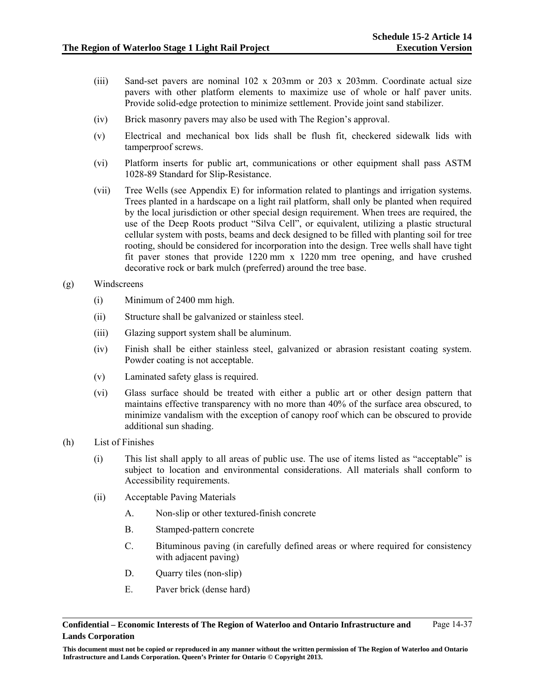- (iii) Sand-set pavers are nominal 102 x 203mm or 203 x 203mm. Coordinate actual size pavers with other platform elements to maximize use of whole or half paver units. Provide solid-edge protection to minimize settlement. Provide joint sand stabilizer.
- (iv) Brick masonry pavers may also be used with The Region's approval.
- (v) Electrical and mechanical box lids shall be flush fit, checkered sidewalk lids with tamperproof screws.
- (vi) Platform inserts for public art, communications or other equipment shall pass ASTM 1028-89 Standard for Slip-Resistance.
- (vii) Tree Wells (see Appendix E) for information related to plantings and irrigation systems. Trees planted in a hardscape on a light rail platform, shall only be planted when required by the local jurisdiction or other special design requirement. When trees are required, the use of the Deep Roots product "Silva Cell", or equivalent, utilizing a plastic structural cellular system with posts, beams and deck designed to be filled with planting soil for tree rooting, should be considered for incorporation into the design. Tree wells shall have tight fit paver stones that provide 1220 mm x 1220 mm tree opening, and have crushed decorative rock or bark mulch (preferred) around the tree base.
- (g) Windscreens
	- (i) Minimum of 2400 mm high.
	- (ii) Structure shall be galvanized or stainless steel.
	- (iii) Glazing support system shall be aluminum.
	- (iv) Finish shall be either stainless steel, galvanized or abrasion resistant coating system. Powder coating is not acceptable.
	- (v) Laminated safety glass is required.
	- (vi) Glass surface should be treated with either a public art or other design pattern that maintains effective transparency with no more than 40% of the surface area obscured, to minimize vandalism with the exception of canopy roof which can be obscured to provide additional sun shading.
- (h) List of Finishes
	- (i) This list shall apply to all areas of public use. The use of items listed as "acceptable" is subject to location and environmental considerations. All materials shall conform to Accessibility requirements.
	- (ii) Acceptable Paving Materials
		- A. Non-slip or other textured-finish concrete
		- B. Stamped-pattern concrete
		- C. Bituminous paving (in carefully defined areas or where required for consistency with adjacent paving)
		- D. Quarry tiles (non-slip)
		- E. Paver brick (dense hard)

**This document must not be copied or reproduced in any manner without the written permission of The Region of Waterloo and Ontario Infrastructure and Lands Corporation. Queen's Printer for Ontario © Copyright 2013.**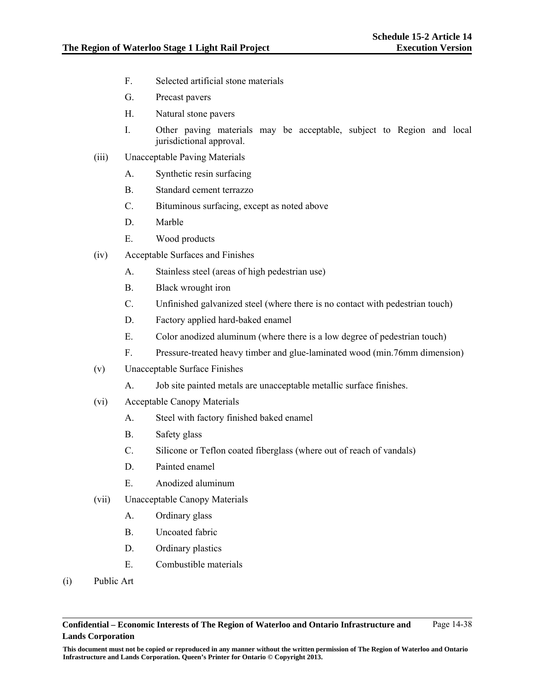- F. Selected artificial stone materials
- G. Precast pavers
- H. Natural stone pavers
- I. Other paving materials may be acceptable, subject to Region and local jurisdictional approval.
- (iii) Unacceptable Paving Materials
	- A. Synthetic resin surfacing
	- B. Standard cement terrazzo
	- C. Bituminous surfacing, except as noted above
	- D. Marble
	- E. Wood products
- (iv) Acceptable Surfaces and Finishes
	- A. Stainless steel (areas of high pedestrian use)
	- B. Black wrought iron
	- C. Unfinished galvanized steel (where there is no contact with pedestrian touch)
	- D. Factory applied hard-baked enamel
	- E. Color anodized aluminum (where there is a low degree of pedestrian touch)
	- F. Pressure-treated heavy timber and glue-laminated wood (min.76mm dimension)
- (v) Unacceptable Surface Finishes
	- A. Job site painted metals are unacceptable metallic surface finishes.
- (vi) Acceptable Canopy Materials
	- A. Steel with factory finished baked enamel
	- B. Safety glass
	- C. Silicone or Teflon coated fiberglass (where out of reach of vandals)
	- D. Painted enamel
	- E. Anodized aluminum
- (vii) Unacceptable Canopy Materials
	- A. Ordinary glass
	- B. Uncoated fabric
	- D. Ordinary plastics
	- E. Combustible materials
- (i) Public Art